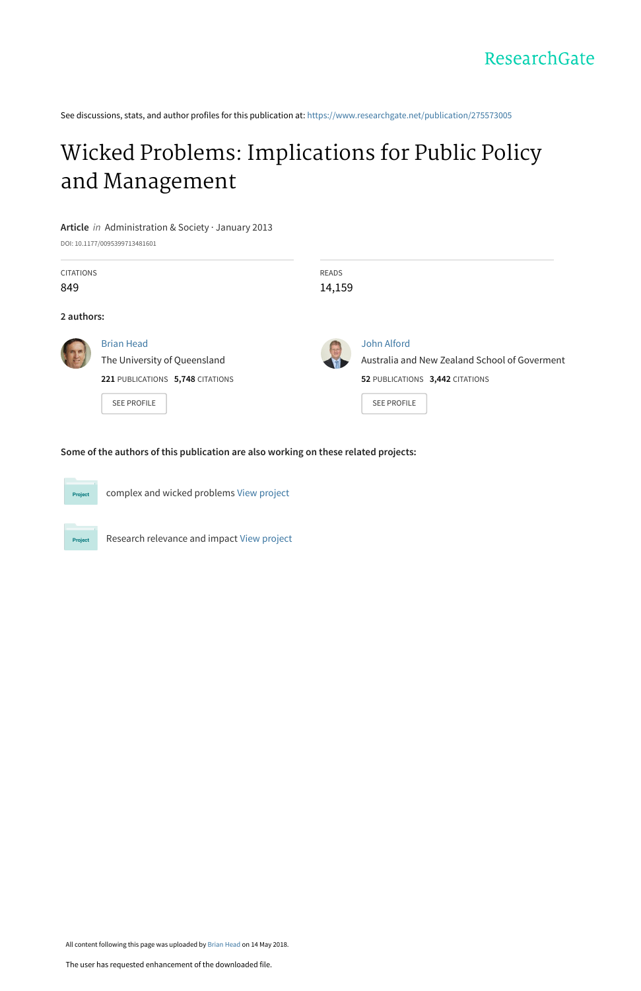See discussions, stats, and author profiles for this publication at: [https://www.researchgate.net/publication/275573005](https://www.researchgate.net/publication/275573005_Wicked_Problems_Implications_for_Public_Policy_and_Management?enrichId=rgreq-2e60d5d9adc04447edb4e43f49f29329-XXX&enrichSource=Y292ZXJQYWdlOzI3NTU3MzAwNTtBUzo2MjYxNTI3NDE4MDE5ODRAMTUyNjI5Nzg1NTAxMQ%3D%3D&el=1_x_2&_esc=publicationCoverPdf)

# [Wicked Problems: Implications for Public Policy](https://www.researchgate.net/publication/275573005_Wicked_Problems_Implications_for_Public_Policy_and_Management?enrichId=rgreq-2e60d5d9adc04447edb4e43f49f29329-XXX&enrichSource=Y292ZXJQYWdlOzI3NTU3MzAwNTtBUzo2MjYxNTI3NDE4MDE5ODRAMTUyNjI5Nzg1NTAxMQ%3D%3D&el=1_x_3&_esc=publicationCoverPdf) and Management

#### **Article** in Administration & Society · January 2013

DOI: 10.1177/0095399713481601

| <b>CITATIONS</b> |                                                   | READS         |                                                              |
|------------------|---------------------------------------------------|---------------|--------------------------------------------------------------|
| 849              |                                                   | 14,159        |                                                              |
| 2 authors:       |                                                   |               |                                                              |
|                  | <b>Brian Head</b><br>The University of Queensland | $\frac{1}{2}$ | John Alford<br>Australia and New Zealand School of Goverment |
|                  | 221 PUBLICATIONS 5,748 CITATIONS                  |               | 52 PUBLICATIONS 3,442 CITATIONS                              |
|                  | <b>SEE PROFILE</b>                                |               | <b>SEE PROFILE</b>                                           |

**Some of the authors of this publication are also working on these related projects:**



complex and wicked problems [View project](https://www.researchgate.net/project/complex-and-wicked-problems?enrichId=rgreq-2e60d5d9adc04447edb4e43f49f29329-XXX&enrichSource=Y292ZXJQYWdlOzI3NTU3MzAwNTtBUzo2MjYxNTI3NDE4MDE5ODRAMTUyNjI5Nzg1NTAxMQ%3D%3D&el=1_x_9&_esc=publicationCoverPdf)



Research relevance and impact [View project](https://www.researchgate.net/project/Research-relevance-and-impact?enrichId=rgreq-2e60d5d9adc04447edb4e43f49f29329-XXX&enrichSource=Y292ZXJQYWdlOzI3NTU3MzAwNTtBUzo2MjYxNTI3NDE4MDE5ODRAMTUyNjI5Nzg1NTAxMQ%3D%3D&el=1_x_9&_esc=publicationCoverPdf)

All content following this page was uploaded by [Brian Head](https://www.researchgate.net/profile/Brian-Head-2?enrichId=rgreq-2e60d5d9adc04447edb4e43f49f29329-XXX&enrichSource=Y292ZXJQYWdlOzI3NTU3MzAwNTtBUzo2MjYxNTI3NDE4MDE5ODRAMTUyNjI5Nzg1NTAxMQ%3D%3D&el=1_x_10&_esc=publicationCoverPdf) on 14 May 2018.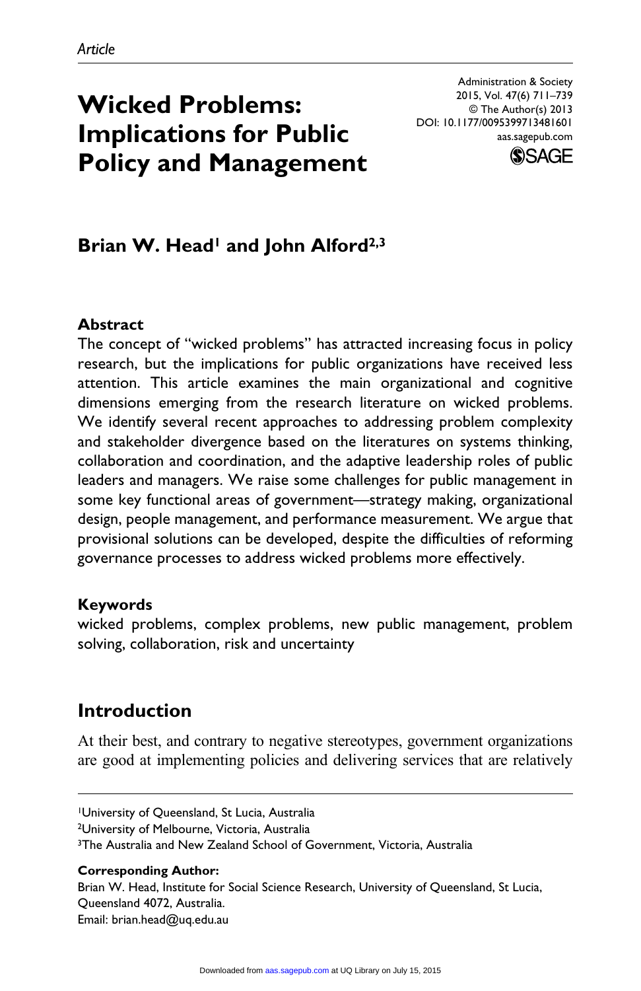# **Wicked Problems: Implications for Public Policy and Management**

Administration & Society 2015, Vol. 47(6) 711–739 © The Author(s) 2013 DOI: 10.1177/0095399713481601 aas.sagepub.com



# Brian W. Head<sup>1</sup> and John Alford<sup>2,3</sup>

## **Abstract**

The concept of "wicked problems" has attracted increasing focus in policy research, but the implications for public organizations have received less attention. This article examines the main organizational and cognitive dimensions emerging from the research literature on wicked problems. We identify several recent approaches to addressing problem complexity and stakeholder divergence based on the literatures on systems thinking, collaboration and coordination, and the adaptive leadership roles of public leaders and managers. We raise some challenges for public management in some key functional areas of government—strategy making, organizational design, people management, and performance measurement. We argue that provisional solutions can be developed, despite the difficulties of reforming governance processes to address wicked problems more effectively.

### **Keywords**

wicked problems, complex problems, new public management, problem solving, collaboration, risk and uncertainty

# **Introduction**

At their best, and contrary to negative stereotypes, government organizations are good at implementing policies and delivering services that are relatively

2University of Melbourne, Victoria, Australia

**Corresponding Author:**

Brian W. Head, Institute for Social Science Research, University of Queensland, St Lucia, Queensland 4072, Australia. Email: brian.head@uq.edu.au

<sup>1</sup>University of Queensland, St Lucia, Australia

<sup>&</sup>lt;sup>3</sup>The Australia and New Zealand School of Government, Victoria, Australia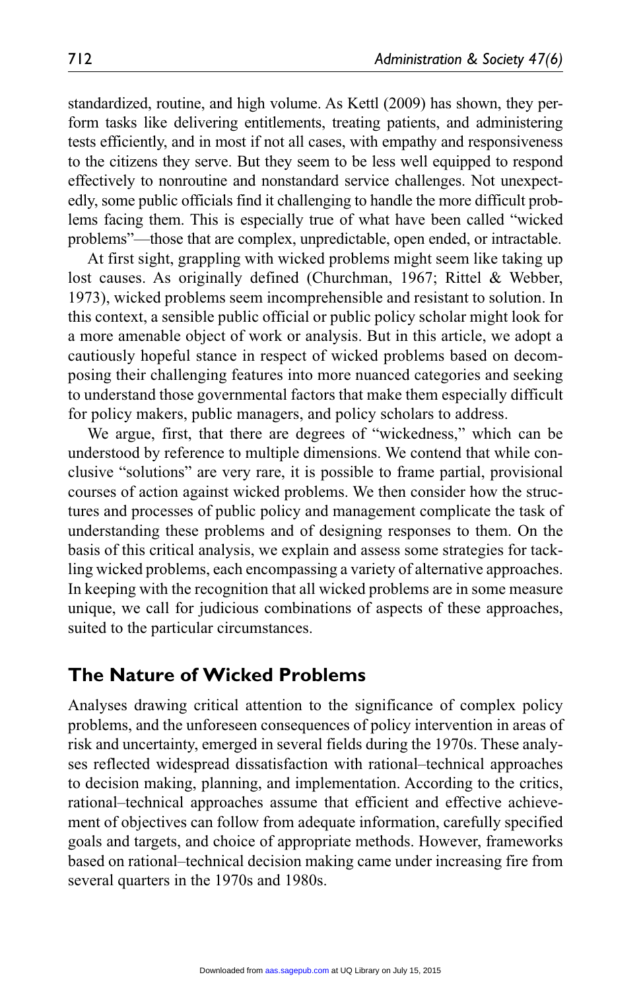standardized, routine, and high volume. As Kettl (2009) has shown, they perform tasks like delivering entitlements, treating patients, and administering tests efficiently, and in most if not all cases, with empathy and responsiveness to the citizens they serve. But they seem to be less well equipped to respond effectively to nonroutine and nonstandard service challenges. Not unexpectedly, some public officials find it challenging to handle the more difficult problems facing them. This is especially true of what have been called "wicked problems"—those that are complex, unpredictable, open ended, or intractable.

At first sight, grappling with wicked problems might seem like taking up lost causes. As originally defined (Churchman, 1967; Rittel & Webber, 1973), wicked problems seem incomprehensible and resistant to solution. In this context, a sensible public official or public policy scholar might look for a more amenable object of work or analysis. But in this article, we adopt a cautiously hopeful stance in respect of wicked problems based on decomposing their challenging features into more nuanced categories and seeking to understand those governmental factors that make them especially difficult for policy makers, public managers, and policy scholars to address.

We argue, first, that there are degrees of "wickedness," which can be understood by reference to multiple dimensions. We contend that while conclusive "solutions" are very rare, it is possible to frame partial, provisional courses of action against wicked problems. We then consider how the structures and processes of public policy and management complicate the task of understanding these problems and of designing responses to them. On the basis of this critical analysis, we explain and assess some strategies for tackling wicked problems, each encompassing a variety of alternative approaches. In keeping with the recognition that all wicked problems are in some measure unique, we call for judicious combinations of aspects of these approaches, suited to the particular circumstances.

## **The Nature of Wicked Problems**

Analyses drawing critical attention to the significance of complex policy problems, and the unforeseen consequences of policy intervention in areas of risk and uncertainty, emerged in several fields during the 1970s. These analyses reflected widespread dissatisfaction with rational–technical approaches to decision making, planning, and implementation. According to the critics, rational–technical approaches assume that efficient and effective achievement of objectives can follow from adequate information, carefully specified goals and targets, and choice of appropriate methods. However, frameworks based on rational–technical decision making came under increasing fire from several quarters in the 1970s and 1980s.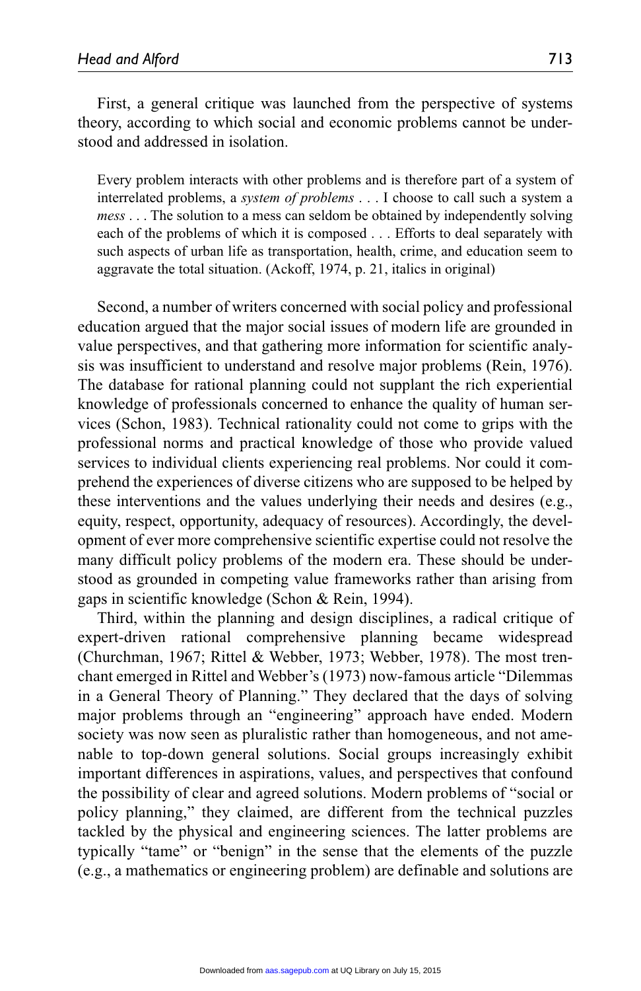First, a general critique was launched from the perspective of systems theory, according to which social and economic problems cannot be understood and addressed in isolation.

Every problem interacts with other problems and is therefore part of a system of interrelated problems, a *system of problems* . . . I choose to call such a system a *mess* . . . The solution to a mess can seldom be obtained by independently solving each of the problems of which it is composed . . . Efforts to deal separately with such aspects of urban life as transportation, health, crime, and education seem to aggravate the total situation. (Ackoff, 1974, p. 21, italics in original)

Second, a number of writers concerned with social policy and professional education argued that the major social issues of modern life are grounded in value perspectives, and that gathering more information for scientific analysis was insufficient to understand and resolve major problems (Rein, 1976). The database for rational planning could not supplant the rich experiential knowledge of professionals concerned to enhance the quality of human services (Schon, 1983). Technical rationality could not come to grips with the professional norms and practical knowledge of those who provide valued services to individual clients experiencing real problems. Nor could it comprehend the experiences of diverse citizens who are supposed to be helped by these interventions and the values underlying their needs and desires (e.g., equity, respect, opportunity, adequacy of resources). Accordingly, the development of ever more comprehensive scientific expertise could not resolve the many difficult policy problems of the modern era. These should be understood as grounded in competing value frameworks rather than arising from gaps in scientific knowledge (Schon & Rein, 1994).

Third, within the planning and design disciplines, a radical critique of expert-driven rational comprehensive planning became widespread (Churchman, 1967; Rittel & Webber, 1973; Webber, 1978). The most trenchant emerged in Rittel and Webber's (1973) now-famous article "Dilemmas in a General Theory of Planning." They declared that the days of solving major problems through an "engineering" approach have ended. Modern society was now seen as pluralistic rather than homogeneous, and not amenable to top-down general solutions. Social groups increasingly exhibit important differences in aspirations, values, and perspectives that confound the possibility of clear and agreed solutions. Modern problems of "social or policy planning," they claimed, are different from the technical puzzles tackled by the physical and engineering sciences. The latter problems are typically "tame" or "benign" in the sense that the elements of the puzzle (e.g., a mathematics or engineering problem) are definable and solutions are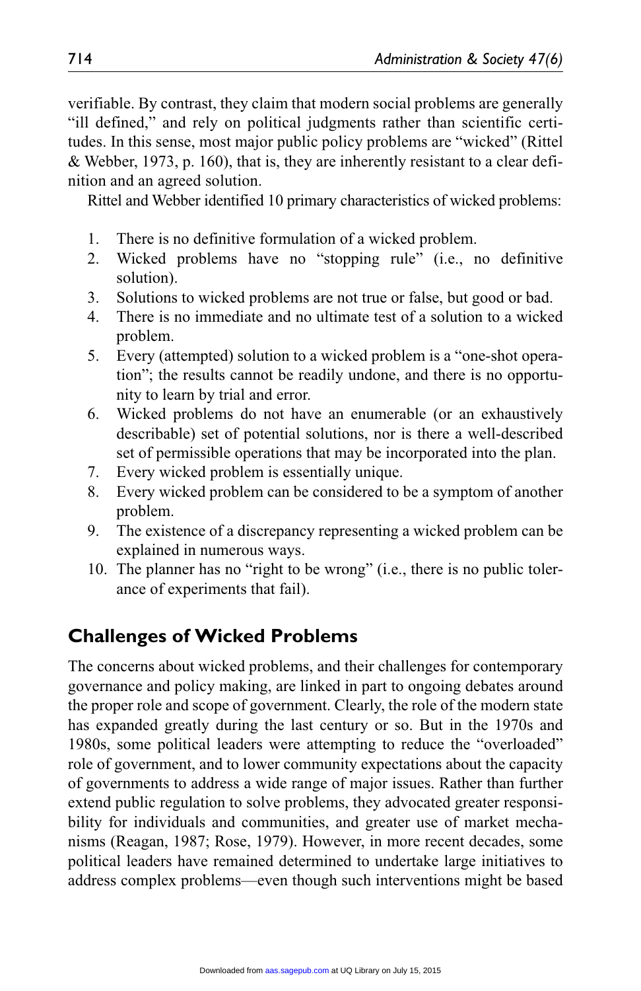verifiable. By contrast, they claim that modern social problems are generally "ill defined," and rely on political judgments rather than scientific certitudes. In this sense, most major public policy problems are "wicked" (Rittel & Webber, 1973, p. 160), that is, they are inherently resistant to a clear definition and an agreed solution.

Rittel and Webber identified 10 primary characteristics of wicked problems:

- 1. There is no definitive formulation of a wicked problem.
- 2. Wicked problems have no "stopping rule" (i.e., no definitive solution).
- 3. Solutions to wicked problems are not true or false, but good or bad.
- 4. There is no immediate and no ultimate test of a solution to a wicked problem.
- 5. Every (attempted) solution to a wicked problem is a "one-shot operation"; the results cannot be readily undone, and there is no opportunity to learn by trial and error.
- 6. Wicked problems do not have an enumerable (or an exhaustively describable) set of potential solutions, nor is there a well-described set of permissible operations that may be incorporated into the plan.
- 7. Every wicked problem is essentially unique.
- 8. Every wicked problem can be considered to be a symptom of another problem.
- 9. The existence of a discrepancy representing a wicked problem can be explained in numerous ways.
- 10. The planner has no "right to be wrong" (i.e., there is no public tolerance of experiments that fail).

## **Challenges of Wicked Problems**

The concerns about wicked problems, and their challenges for contemporary governance and policy making, are linked in part to ongoing debates around the proper role and scope of government. Clearly, the role of the modern state has expanded greatly during the last century or so. But in the 1970s and 1980s, some political leaders were attempting to reduce the "overloaded" role of government, and to lower community expectations about the capacity of governments to address a wide range of major issues. Rather than further extend public regulation to solve problems, they advocated greater responsibility for individuals and communities, and greater use of market mechanisms (Reagan, 1987; Rose, 1979). However, in more recent decades, some political leaders have remained determined to undertake large initiatives to address complex problems—even though such interventions might be based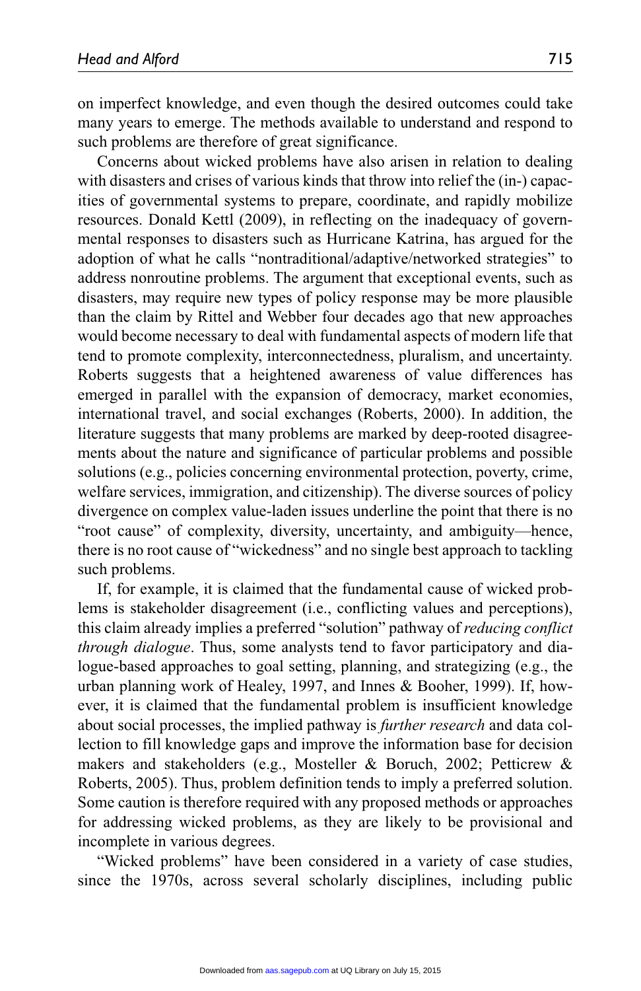on imperfect knowledge, and even though the desired outcomes could take many years to emerge. The methods available to understand and respond to such problems are therefore of great significance.

Concerns about wicked problems have also arisen in relation to dealing with disasters and crises of various kinds that throw into relief the (in-) capacities of governmental systems to prepare, coordinate, and rapidly mobilize resources. Donald Kettl (2009), in reflecting on the inadequacy of governmental responses to disasters such as Hurricane Katrina, has argued for the adoption of what he calls "nontraditional/adaptive/networked strategies" to address nonroutine problems. The argument that exceptional events, such as disasters, may require new types of policy response may be more plausible than the claim by Rittel and Webber four decades ago that new approaches would become necessary to deal with fundamental aspects of modern life that tend to promote complexity, interconnectedness, pluralism, and uncertainty. Roberts suggests that a heightened awareness of value differences has emerged in parallel with the expansion of democracy, market economies, international travel, and social exchanges (Roberts, 2000). In addition, the literature suggests that many problems are marked by deep-rooted disagreements about the nature and significance of particular problems and possible solutions (e.g., policies concerning environmental protection, poverty, crime, welfare services, immigration, and citizenship). The diverse sources of policy divergence on complex value-laden issues underline the point that there is no "root cause" of complexity, diversity, uncertainty, and ambiguity—hence, there is no root cause of "wickedness" and no single best approach to tackling such problems.

If, for example, it is claimed that the fundamental cause of wicked problems is stakeholder disagreement (i.e., conflicting values and perceptions), this claim already implies a preferred "solution" pathway of *reducing conflict through dialogue*. Thus, some analysts tend to favor participatory and dialogue-based approaches to goal setting, planning, and strategizing (e.g., the urban planning work of Healey, 1997, and Innes & Booher, 1999). If, however, it is claimed that the fundamental problem is insufficient knowledge about social processes, the implied pathway is *further research* and data collection to fill knowledge gaps and improve the information base for decision makers and stakeholders (e.g., Mosteller & Boruch, 2002; Petticrew & Roberts, 2005). Thus, problem definition tends to imply a preferred solution. Some caution is therefore required with any proposed methods or approaches for addressing wicked problems, as they are likely to be provisional and incomplete in various degrees.

"Wicked problems" have been considered in a variety of case studies, since the 1970s, across several scholarly disciplines, including public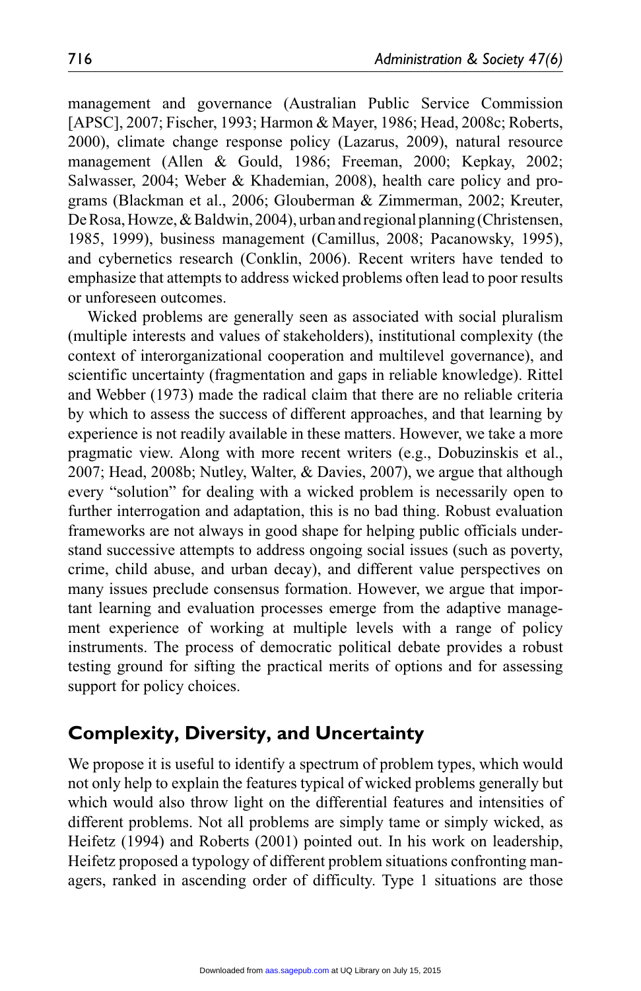management and governance (Australian Public Service Commission [APSC], 2007; Fischer, 1993; Harmon & Mayer, 1986; Head, 2008c; Roberts, 2000), climate change response policy (Lazarus, 2009), natural resource management (Allen & Gould, 1986; Freeman, 2000; Kepkay, 2002; Salwasser, 2004; Weber & Khademian, 2008), health care policy and programs (Blackman et al., 2006; Glouberman & Zimmerman, 2002; Kreuter, De Rosa, Howze, & Baldwin, 2004), urban and regional planning (Christensen, 1985, 1999), business management (Camillus, 2008; Pacanowsky, 1995), and cybernetics research (Conklin, 2006). Recent writers have tended to emphasize that attempts to address wicked problems often lead to poor results or unforeseen outcomes.

Wicked problems are generally seen as associated with social pluralism (multiple interests and values of stakeholders), institutional complexity (the context of interorganizational cooperation and multilevel governance), and scientific uncertainty (fragmentation and gaps in reliable knowledge). Rittel and Webber (1973) made the radical claim that there are no reliable criteria by which to assess the success of different approaches, and that learning by experience is not readily available in these matters. However, we take a more pragmatic view. Along with more recent writers (e.g., Dobuzinskis et al., 2007; Head, 2008b; Nutley, Walter, & Davies, 2007), we argue that although every "solution" for dealing with a wicked problem is necessarily open to further interrogation and adaptation, this is no bad thing. Robust evaluation frameworks are not always in good shape for helping public officials understand successive attempts to address ongoing social issues (such as poverty, crime, child abuse, and urban decay), and different value perspectives on many issues preclude consensus formation. However, we argue that important learning and evaluation processes emerge from the adaptive management experience of working at multiple levels with a range of policy instruments. The process of democratic political debate provides a robust testing ground for sifting the practical merits of options and for assessing support for policy choices.

## **Complexity, Diversity, and Uncertainty**

We propose it is useful to identify a spectrum of problem types, which would not only help to explain the features typical of wicked problems generally but which would also throw light on the differential features and intensities of different problems. Not all problems are simply tame or simply wicked, as Heifetz (1994) and Roberts (2001) pointed out. In his work on leadership, Heifetz proposed a typology of different problem situations confronting managers, ranked in ascending order of difficulty. Type 1 situations are those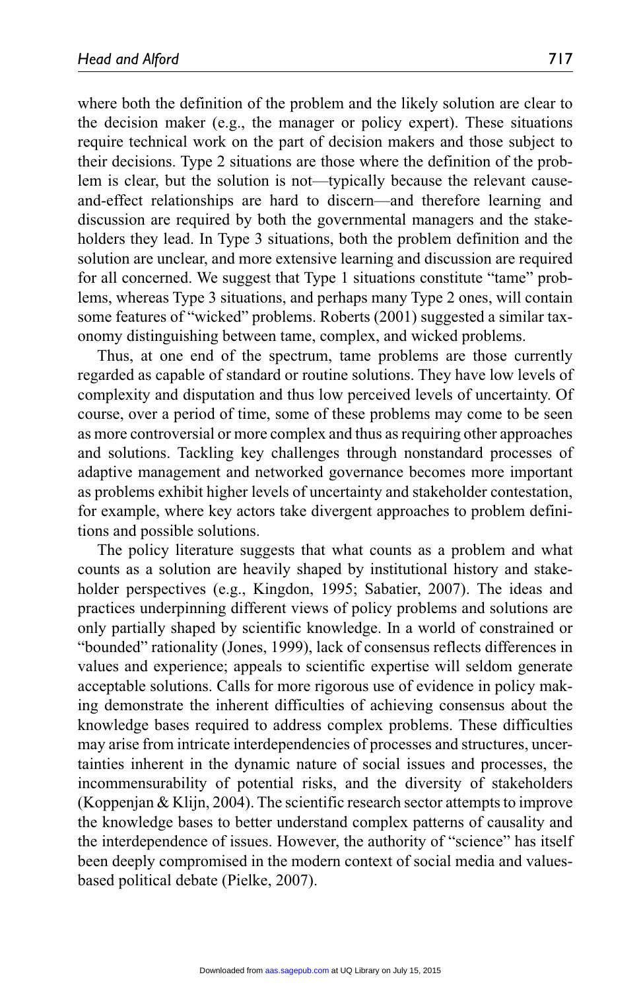where both the definition of the problem and the likely solution are clear to the decision maker (e.g., the manager or policy expert). These situations require technical work on the part of decision makers and those subject to their decisions. Type 2 situations are those where the definition of the problem is clear, but the solution is not—typically because the relevant causeand-effect relationships are hard to discern—and therefore learning and discussion are required by both the governmental managers and the stakeholders they lead. In Type 3 situations, both the problem definition and the solution are unclear, and more extensive learning and discussion are required for all concerned. We suggest that Type 1 situations constitute "tame" problems, whereas Type 3 situations, and perhaps many Type 2 ones, will contain some features of "wicked" problems. Roberts (2001) suggested a similar taxonomy distinguishing between tame, complex, and wicked problems.

Thus, at one end of the spectrum, tame problems are those currently regarded as capable of standard or routine solutions. They have low levels of complexity and disputation and thus low perceived levels of uncertainty. Of course, over a period of time, some of these problems may come to be seen as more controversial or more complex and thus as requiring other approaches and solutions. Tackling key challenges through nonstandard processes of adaptive management and networked governance becomes more important as problems exhibit higher levels of uncertainty and stakeholder contestation, for example, where key actors take divergent approaches to problem definitions and possible solutions.

The policy literature suggests that what counts as a problem and what counts as a solution are heavily shaped by institutional history and stakeholder perspectives (e.g., Kingdon, 1995; Sabatier, 2007). The ideas and practices underpinning different views of policy problems and solutions are only partially shaped by scientific knowledge. In a world of constrained or "bounded" rationality (Jones, 1999), lack of consensus reflects differences in values and experience; appeals to scientific expertise will seldom generate acceptable solutions. Calls for more rigorous use of evidence in policy making demonstrate the inherent difficulties of achieving consensus about the knowledge bases required to address complex problems. These difficulties may arise from intricate interdependencies of processes and structures, uncertainties inherent in the dynamic nature of social issues and processes, the incommensurability of potential risks, and the diversity of stakeholders (Koppenjan & Klijn, 2004). The scientific research sector attempts to improve the knowledge bases to better understand complex patterns of causality and the interdependence of issues. However, the authority of "science" has itself been deeply compromised in the modern context of social media and valuesbased political debate (Pielke, 2007).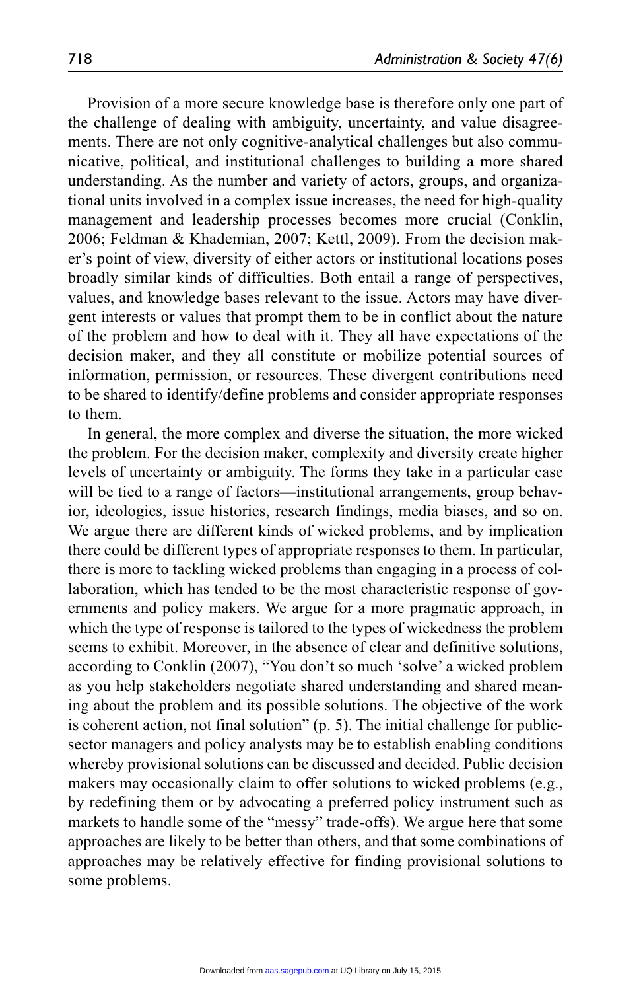Provision of a more secure knowledge base is therefore only one part of the challenge of dealing with ambiguity, uncertainty, and value disagreements. There are not only cognitive-analytical challenges but also communicative, political, and institutional challenges to building a more shared understanding. As the number and variety of actors, groups, and organizational units involved in a complex issue increases, the need for high-quality management and leadership processes becomes more crucial (Conklin, 2006; Feldman & Khademian, 2007; Kettl, 2009). From the decision maker's point of view, diversity of either actors or institutional locations poses broadly similar kinds of difficulties. Both entail a range of perspectives, values, and knowledge bases relevant to the issue. Actors may have divergent interests or values that prompt them to be in conflict about the nature of the problem and how to deal with it. They all have expectations of the decision maker, and they all constitute or mobilize potential sources of information, permission, or resources. These divergent contributions need to be shared to identify/define problems and consider appropriate responses to them.

In general, the more complex and diverse the situation, the more wicked the problem. For the decision maker, complexity and diversity create higher levels of uncertainty or ambiguity. The forms they take in a particular case will be tied to a range of factors—institutional arrangements, group behavior, ideologies, issue histories, research findings, media biases, and so on. We argue there are different kinds of wicked problems, and by implication there could be different types of appropriate responses to them. In particular, there is more to tackling wicked problems than engaging in a process of collaboration, which has tended to be the most characteristic response of governments and policy makers. We argue for a more pragmatic approach, in which the type of response is tailored to the types of wickedness the problem seems to exhibit. Moreover, in the absence of clear and definitive solutions, according to Conklin (2007), "You don't so much 'solve' a wicked problem as you help stakeholders negotiate shared understanding and shared meaning about the problem and its possible solutions. The objective of the work is coherent action, not final solution" (p. 5). The initial challenge for publicsector managers and policy analysts may be to establish enabling conditions whereby provisional solutions can be discussed and decided. Public decision makers may occasionally claim to offer solutions to wicked problems (e.g., by redefining them or by advocating a preferred policy instrument such as markets to handle some of the "messy" trade-offs). We argue here that some approaches are likely to be better than others, and that some combinations of approaches may be relatively effective for finding provisional solutions to some problems.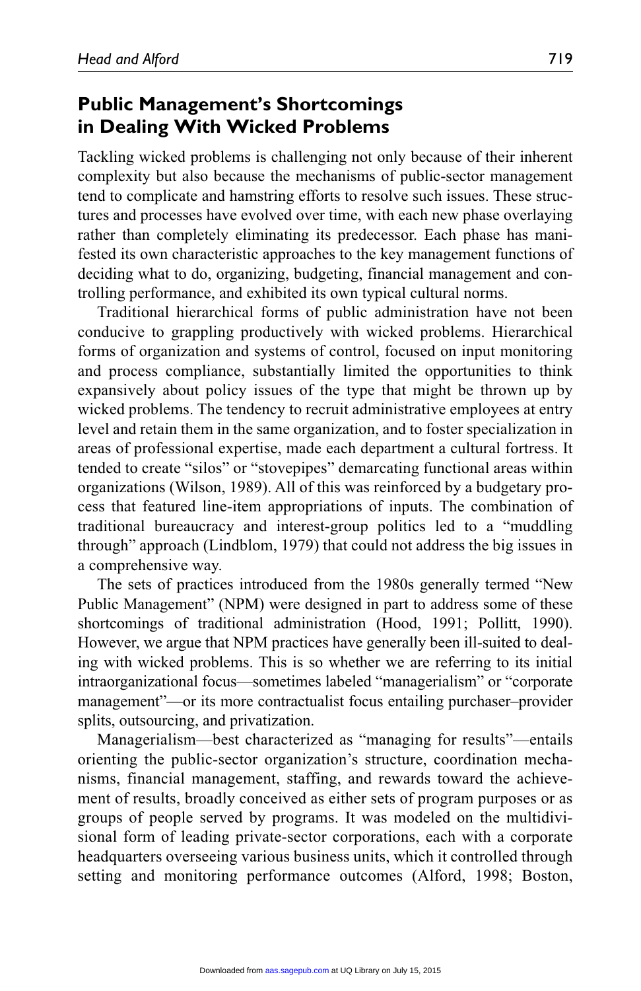## **Public Management's Shortcomings in Dealing With Wicked Problems**

Tackling wicked problems is challenging not only because of their inherent complexity but also because the mechanisms of public-sector management tend to complicate and hamstring efforts to resolve such issues. These structures and processes have evolved over time, with each new phase overlaying rather than completely eliminating its predecessor. Each phase has manifested its own characteristic approaches to the key management functions of deciding what to do, organizing, budgeting, financial management and controlling performance, and exhibited its own typical cultural norms.

Traditional hierarchical forms of public administration have not been conducive to grappling productively with wicked problems. Hierarchical forms of organization and systems of control, focused on input monitoring and process compliance, substantially limited the opportunities to think expansively about policy issues of the type that might be thrown up by wicked problems. The tendency to recruit administrative employees at entry level and retain them in the same organization, and to foster specialization in areas of professional expertise, made each department a cultural fortress. It tended to create "silos" or "stovepipes" demarcating functional areas within organizations (Wilson, 1989). All of this was reinforced by a budgetary process that featured line-item appropriations of inputs. The combination of traditional bureaucracy and interest-group politics led to a "muddling through" approach (Lindblom, 1979) that could not address the big issues in a comprehensive way.

The sets of practices introduced from the 1980s generally termed "New Public Management" (NPM) were designed in part to address some of these shortcomings of traditional administration (Hood, 1991; Pollitt, 1990). However, we argue that NPM practices have generally been ill-suited to dealing with wicked problems. This is so whether we are referring to its initial intraorganizational focus—sometimes labeled "managerialism" or "corporate management"—or its more contractualist focus entailing purchaser–provider splits, outsourcing, and privatization.

Managerialism—best characterized as "managing for results"—entails orienting the public-sector organization's structure, coordination mechanisms, financial management, staffing, and rewards toward the achievement of results, broadly conceived as either sets of program purposes or as groups of people served by programs. It was modeled on the multidivisional form of leading private-sector corporations, each with a corporate headquarters overseeing various business units, which it controlled through setting and monitoring performance outcomes (Alford, 1998; Boston,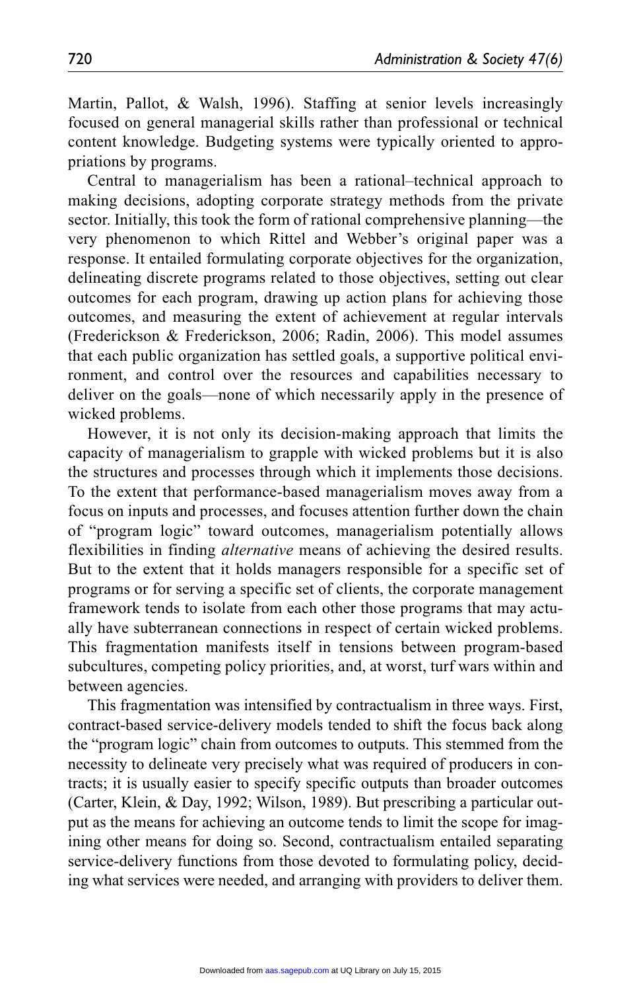Martin, Pallot, & Walsh, 1996). Staffing at senior levels increasingly focused on general managerial skills rather than professional or technical content knowledge. Budgeting systems were typically oriented to appropriations by programs.

Central to managerialism has been a rational–technical approach to making decisions, adopting corporate strategy methods from the private sector. Initially, this took the form of rational comprehensive planning—the very phenomenon to which Rittel and Webber's original paper was a response. It entailed formulating corporate objectives for the organization, delineating discrete programs related to those objectives, setting out clear outcomes for each program, drawing up action plans for achieving those outcomes, and measuring the extent of achievement at regular intervals (Frederickson & Frederickson, 2006; Radin, 2006). This model assumes that each public organization has settled goals, a supportive political environment, and control over the resources and capabilities necessary to deliver on the goals—none of which necessarily apply in the presence of wicked problems.

However, it is not only its decision-making approach that limits the capacity of managerialism to grapple with wicked problems but it is also the structures and processes through which it implements those decisions. To the extent that performance-based managerialism moves away from a focus on inputs and processes, and focuses attention further down the chain of "program logic" toward outcomes, managerialism potentially allows flexibilities in finding *alternative* means of achieving the desired results. But to the extent that it holds managers responsible for a specific set of programs or for serving a specific set of clients, the corporate management framework tends to isolate from each other those programs that may actually have subterranean connections in respect of certain wicked problems. This fragmentation manifests itself in tensions between program-based subcultures, competing policy priorities, and, at worst, turf wars within and between agencies.

This fragmentation was intensified by contractualism in three ways. First, contract-based service-delivery models tended to shift the focus back along the "program logic" chain from outcomes to outputs. This stemmed from the necessity to delineate very precisely what was required of producers in contracts; it is usually easier to specify specific outputs than broader outcomes (Carter, Klein, & Day, 1992; Wilson, 1989). But prescribing a particular output as the means for achieving an outcome tends to limit the scope for imagining other means for doing so. Second, contractualism entailed separating service-delivery functions from those devoted to formulating policy, deciding what services were needed, and arranging with providers to deliver them.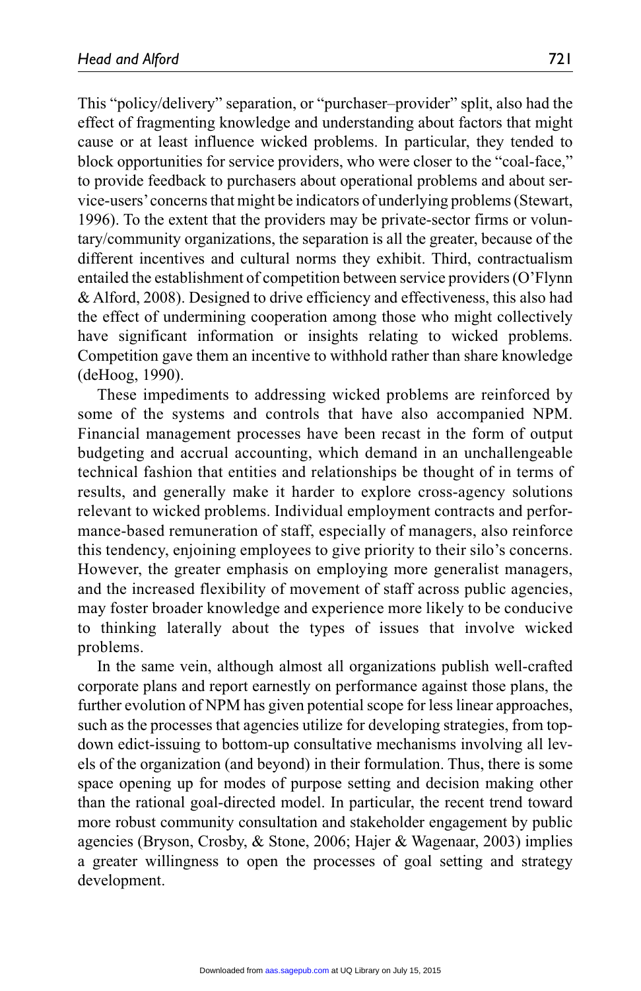This "policy/delivery" separation, or "purchaser–provider" split, also had the effect of fragmenting knowledge and understanding about factors that might cause or at least influence wicked problems. In particular, they tended to block opportunities for service providers, who were closer to the "coal-face," to provide feedback to purchasers about operational problems and about service-users' concerns that might be indicators of underlying problems (Stewart, 1996). To the extent that the providers may be private-sector firms or voluntary/community organizations, the separation is all the greater, because of the different incentives and cultural norms they exhibit. Third, contractualism entailed the establishment of competition between service providers (O'Flynn & Alford, 2008). Designed to drive efficiency and effectiveness, this also had the effect of undermining cooperation among those who might collectively have significant information or insights relating to wicked problems. Competition gave them an incentive to withhold rather than share knowledge (deHoog, 1990).

These impediments to addressing wicked problems are reinforced by some of the systems and controls that have also accompanied NPM. Financial management processes have been recast in the form of output budgeting and accrual accounting, which demand in an unchallengeable technical fashion that entities and relationships be thought of in terms of results, and generally make it harder to explore cross-agency solutions relevant to wicked problems. Individual employment contracts and performance-based remuneration of staff, especially of managers, also reinforce this tendency, enjoining employees to give priority to their silo's concerns. However, the greater emphasis on employing more generalist managers, and the increased flexibility of movement of staff across public agencies, may foster broader knowledge and experience more likely to be conducive to thinking laterally about the types of issues that involve wicked problems.

In the same vein, although almost all organizations publish well-crafted corporate plans and report earnestly on performance against those plans, the further evolution of NPM has given potential scope for less linear approaches, such as the processes that agencies utilize for developing strategies, from topdown edict-issuing to bottom-up consultative mechanisms involving all levels of the organization (and beyond) in their formulation. Thus, there is some space opening up for modes of purpose setting and decision making other than the rational goal-directed model. In particular, the recent trend toward more robust community consultation and stakeholder engagement by public agencies (Bryson, Crosby, & Stone, 2006; Hajer & Wagenaar, 2003) implies a greater willingness to open the processes of goal setting and strategy development.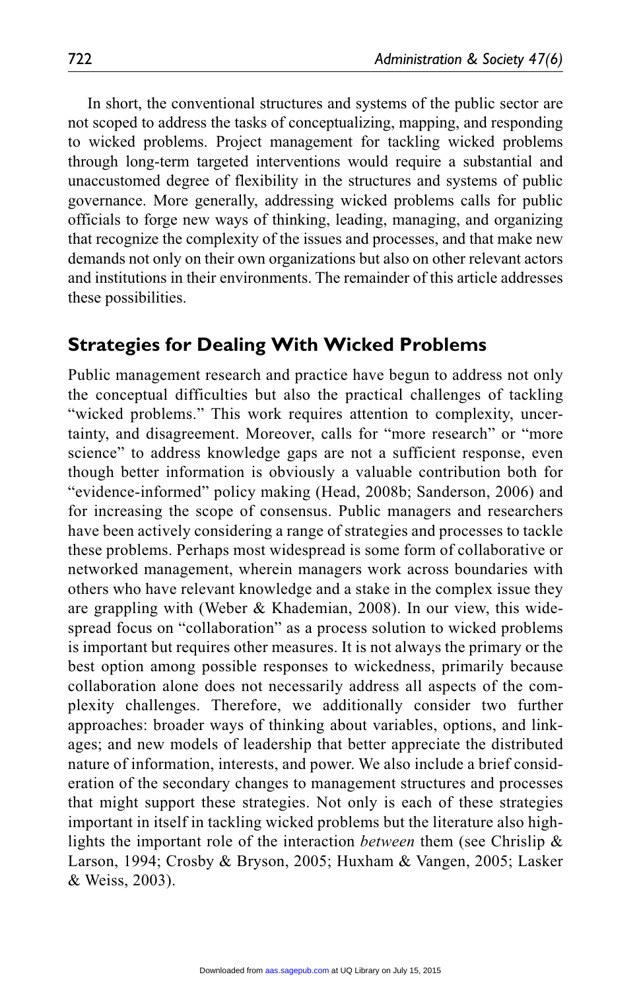In short, the conventional structures and systems of the public sector are not scoped to address the tasks of conceptualizing, mapping, and responding to wicked problems. Project management for tackling wicked problems through long-term targeted interventions would require a substantial and unaccustomed degree of flexibility in the structures and systems of public governance. More generally, addressing wicked problems calls for public officials to forge new ways of thinking, leading, managing, and organizing that recognize the complexity of the issues and processes, and that make new demands not only on their own organizations but also on other relevant actors and institutions in their environments. The remainder of this article addresses these possibilities.

## **Strategies for Dealing With Wicked Problems**

Public management research and practice have begun to address not only the conceptual difficulties but also the practical challenges of tackling "wicked problems." This work requires attention to complexity, uncertainty, and disagreement. Moreover, calls for "more research" or "more science" to address knowledge gaps are not a sufficient response, even though better information is obviously a valuable contribution both for "evidence-informed" policy making (Head, 2008b; Sanderson, 2006) and for increasing the scope of consensus. Public managers and researchers have been actively considering a range of strategies and processes to tackle these problems. Perhaps most widespread is some form of collaborative or networked management, wherein managers work across boundaries with others who have relevant knowledge and a stake in the complex issue they are grappling with (Weber & Khademian, 2008). In our view, this widespread focus on "collaboration" as a process solution to wicked problems is important but requires other measures. It is not always the primary or the best option among possible responses to wickedness, primarily because collaboration alone does not necessarily address all aspects of the complexity challenges. Therefore, we additionally consider two further approaches: broader ways of thinking about variables, options, and linkages; and new models of leadership that better appreciate the distributed nature of information, interests, and power. We also include a brief consideration of the secondary changes to management structures and processes that might support these strategies. Not only is each of these strategies important in itself in tackling wicked problems but the literature also highlights the important role of the interaction *between* them (see Chrislip & Larson, 1994; Crosby & Bryson, 2005; Huxham & Vangen, 2005; Lasker & Weiss, 2003).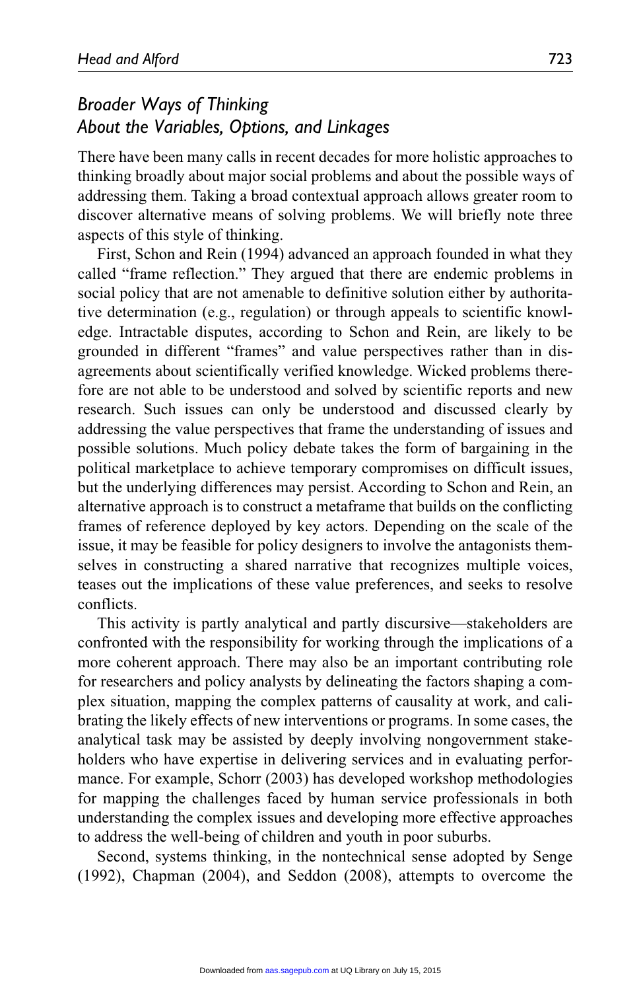# *Broader Ways of Thinking About the Variables, Options, and Linkages*

There have been many calls in recent decades for more holistic approaches to thinking broadly about major social problems and about the possible ways of addressing them. Taking a broad contextual approach allows greater room to discover alternative means of solving problems. We will briefly note three aspects of this style of thinking.

First, Schon and Rein (1994) advanced an approach founded in what they called "frame reflection." They argued that there are endemic problems in social policy that are not amenable to definitive solution either by authoritative determination (e.g., regulation) or through appeals to scientific knowledge. Intractable disputes, according to Schon and Rein, are likely to be grounded in different "frames" and value perspectives rather than in disagreements about scientifically verified knowledge. Wicked problems therefore are not able to be understood and solved by scientific reports and new research. Such issues can only be understood and discussed clearly by addressing the value perspectives that frame the understanding of issues and possible solutions. Much policy debate takes the form of bargaining in the political marketplace to achieve temporary compromises on difficult issues, but the underlying differences may persist. According to Schon and Rein, an alternative approach is to construct a metaframe that builds on the conflicting frames of reference deployed by key actors. Depending on the scale of the issue, it may be feasible for policy designers to involve the antagonists themselves in constructing a shared narrative that recognizes multiple voices, teases out the implications of these value preferences, and seeks to resolve conflicts.

This activity is partly analytical and partly discursive—stakeholders are confronted with the responsibility for working through the implications of a more coherent approach. There may also be an important contributing role for researchers and policy analysts by delineating the factors shaping a complex situation, mapping the complex patterns of causality at work, and calibrating the likely effects of new interventions or programs. In some cases, the analytical task may be assisted by deeply involving nongovernment stakeholders who have expertise in delivering services and in evaluating performance. For example, Schorr (2003) has developed workshop methodologies for mapping the challenges faced by human service professionals in both understanding the complex issues and developing more effective approaches to address the well-being of children and youth in poor suburbs.

Second, systems thinking, in the nontechnical sense adopted by Senge (1992), Chapman (2004), and Seddon (2008), attempts to overcome the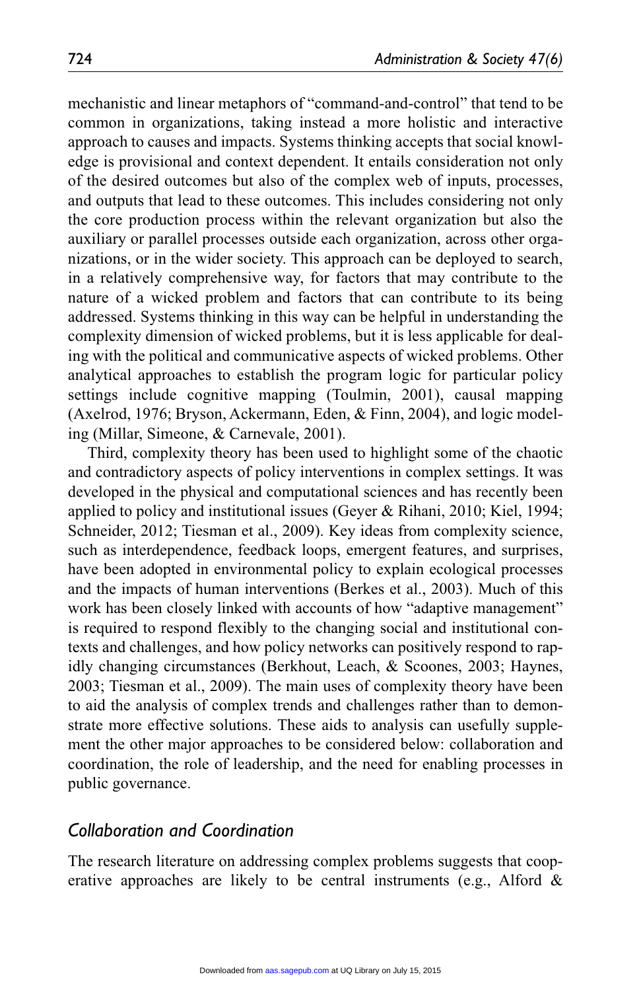mechanistic and linear metaphors of "command-and-control" that tend to be common in organizations, taking instead a more holistic and interactive approach to causes and impacts. Systems thinking accepts that social knowledge is provisional and context dependent. It entails consideration not only of the desired outcomes but also of the complex web of inputs, processes, and outputs that lead to these outcomes. This includes considering not only the core production process within the relevant organization but also the auxiliary or parallel processes outside each organization, across other organizations, or in the wider society. This approach can be deployed to search, in a relatively comprehensive way, for factors that may contribute to the nature of a wicked problem and factors that can contribute to its being addressed. Systems thinking in this way can be helpful in understanding the complexity dimension of wicked problems, but it is less applicable for dealing with the political and communicative aspects of wicked problems. Other analytical approaches to establish the program logic for particular policy settings include cognitive mapping (Toulmin, 2001), causal mapping (Axelrod, 1976; Bryson, Ackermann, Eden, & Finn, 2004), and logic modeling (Millar, Simeone, & Carnevale, 2001).

Third, complexity theory has been used to highlight some of the chaotic and contradictory aspects of policy interventions in complex settings. It was developed in the physical and computational sciences and has recently been applied to policy and institutional issues (Geyer & Rihani, 2010; Kiel, 1994; Schneider, 2012; Tiesman et al., 2009). Key ideas from complexity science, such as interdependence, feedback loops, emergent features, and surprises, have been adopted in environmental policy to explain ecological processes and the impacts of human interventions (Berkes et al., 2003). Much of this work has been closely linked with accounts of how "adaptive management" is required to respond flexibly to the changing social and institutional contexts and challenges, and how policy networks can positively respond to rapidly changing circumstances (Berkhout, Leach, & Scoones, 2003; Haynes, 2003; Tiesman et al., 2009). The main uses of complexity theory have been to aid the analysis of complex trends and challenges rather than to demonstrate more effective solutions. These aids to analysis can usefully supplement the other major approaches to be considered below: collaboration and coordination, the role of leadership, and the need for enabling processes in public governance.

### *Collaboration and Coordination*

The research literature on addressing complex problems suggests that cooperative approaches are likely to be central instruments (e.g., Alford  $\&$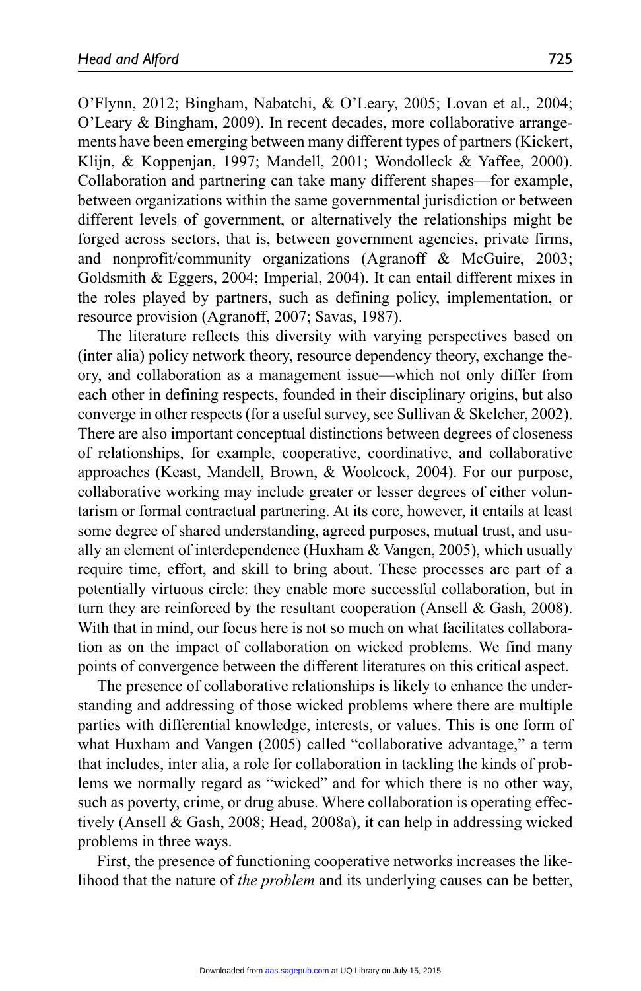O'Flynn, 2012; Bingham, Nabatchi, & O'Leary, 2005; Lovan et al., 2004; O'Leary & Bingham, 2009). In recent decades, more collaborative arrangements have been emerging between many different types of partners (Kickert, Klijn, & Koppenjan, 1997; Mandell, 2001; Wondolleck & Yaffee, 2000). Collaboration and partnering can take many different shapes—for example, between organizations within the same governmental jurisdiction or between different levels of government, or alternatively the relationships might be forged across sectors, that is, between government agencies, private firms, and nonprofit/community organizations (Agranoff & McGuire, 2003; Goldsmith & Eggers, 2004; Imperial, 2004). It can entail different mixes in the roles played by partners, such as defining policy, implementation, or resource provision (Agranoff, 2007; Savas, 1987).

The literature reflects this diversity with varying perspectives based on (inter alia) policy network theory, resource dependency theory, exchange theory, and collaboration as a management issue—which not only differ from each other in defining respects, founded in their disciplinary origins, but also converge in other respects (for a useful survey, see Sullivan & Skelcher, 2002). There are also important conceptual distinctions between degrees of closeness of relationships, for example, cooperative, coordinative, and collaborative approaches (Keast, Mandell, Brown, & Woolcock, 2004). For our purpose, collaborative working may include greater or lesser degrees of either voluntarism or formal contractual partnering. At its core, however, it entails at least some degree of shared understanding, agreed purposes, mutual trust, and usually an element of interdependence (Huxham & Vangen, 2005), which usually require time, effort, and skill to bring about. These processes are part of a potentially virtuous circle: they enable more successful collaboration, but in turn they are reinforced by the resultant cooperation (Ansell & Gash, 2008). With that in mind, our focus here is not so much on what facilitates collaboration as on the impact of collaboration on wicked problems. We find many points of convergence between the different literatures on this critical aspect.

The presence of collaborative relationships is likely to enhance the understanding and addressing of those wicked problems where there are multiple parties with differential knowledge, interests, or values. This is one form of what Huxham and Vangen (2005) called "collaborative advantage," a term that includes, inter alia, a role for collaboration in tackling the kinds of problems we normally regard as "wicked" and for which there is no other way, such as poverty, crime, or drug abuse. Where collaboration is operating effectively (Ansell & Gash, 2008; Head, 2008a), it can help in addressing wicked problems in three ways.

First, the presence of functioning cooperative networks increases the likelihood that the nature of *the problem* and its underlying causes can be better,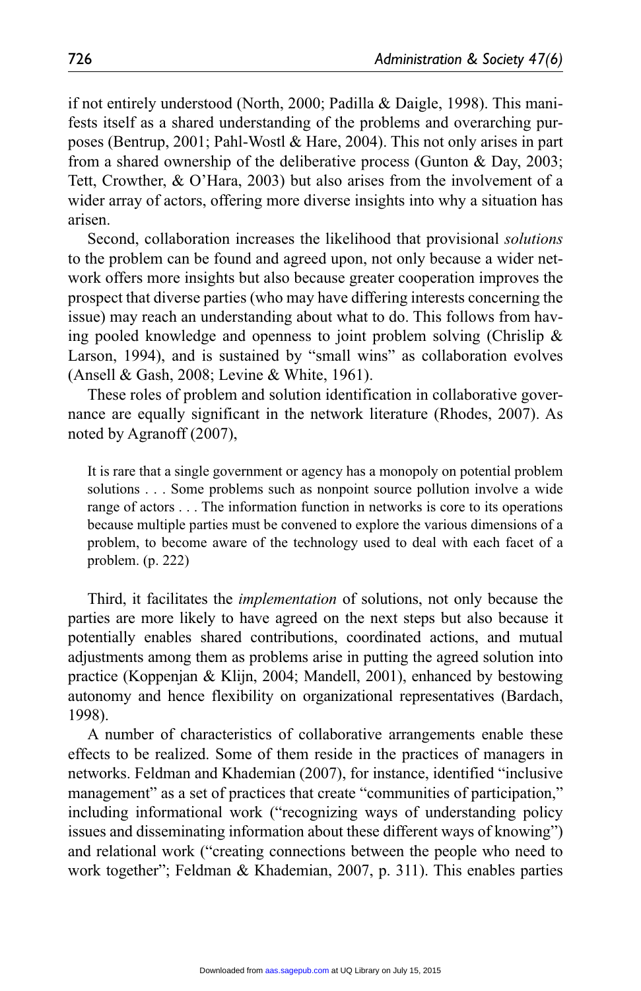if not entirely understood (North, 2000; Padilla & Daigle, 1998). This manifests itself as a shared understanding of the problems and overarching purposes (Bentrup, 2001; Pahl-Wostl & Hare, 2004). This not only arises in part from a shared ownership of the deliberative process (Gunton & Day, 2003; Tett, Crowther, & O'Hara, 2003) but also arises from the involvement of a wider array of actors, offering more diverse insights into why a situation has arisen.

Second, collaboration increases the likelihood that provisional *solutions* to the problem can be found and agreed upon, not only because a wider network offers more insights but also because greater cooperation improves the prospect that diverse parties (who may have differing interests concerning the issue) may reach an understanding about what to do. This follows from having pooled knowledge and openness to joint problem solving (Chrislip & Larson, 1994), and is sustained by "small wins" as collaboration evolves (Ansell & Gash, 2008; Levine & White, 1961).

These roles of problem and solution identification in collaborative governance are equally significant in the network literature (Rhodes, 2007). As noted by Agranoff (2007),

It is rare that a single government or agency has a monopoly on potential problem solutions . . . Some problems such as nonpoint source pollution involve a wide range of actors . . . The information function in networks is core to its operations because multiple parties must be convened to explore the various dimensions of a problem, to become aware of the technology used to deal with each facet of a problem. (p. 222)

Third, it facilitates the *implementation* of solutions, not only because the parties are more likely to have agreed on the next steps but also because it potentially enables shared contributions, coordinated actions, and mutual adjustments among them as problems arise in putting the agreed solution into practice (Koppenjan & Klijn, 2004; Mandell, 2001), enhanced by bestowing autonomy and hence flexibility on organizational representatives (Bardach, 1998).

A number of characteristics of collaborative arrangements enable these effects to be realized. Some of them reside in the practices of managers in networks. Feldman and Khademian (2007), for instance, identified "inclusive management" as a set of practices that create "communities of participation," including informational work ("recognizing ways of understanding policy issues and disseminating information about these different ways of knowing") and relational work ("creating connections between the people who need to work together"; Feldman & Khademian, 2007, p. 311). This enables parties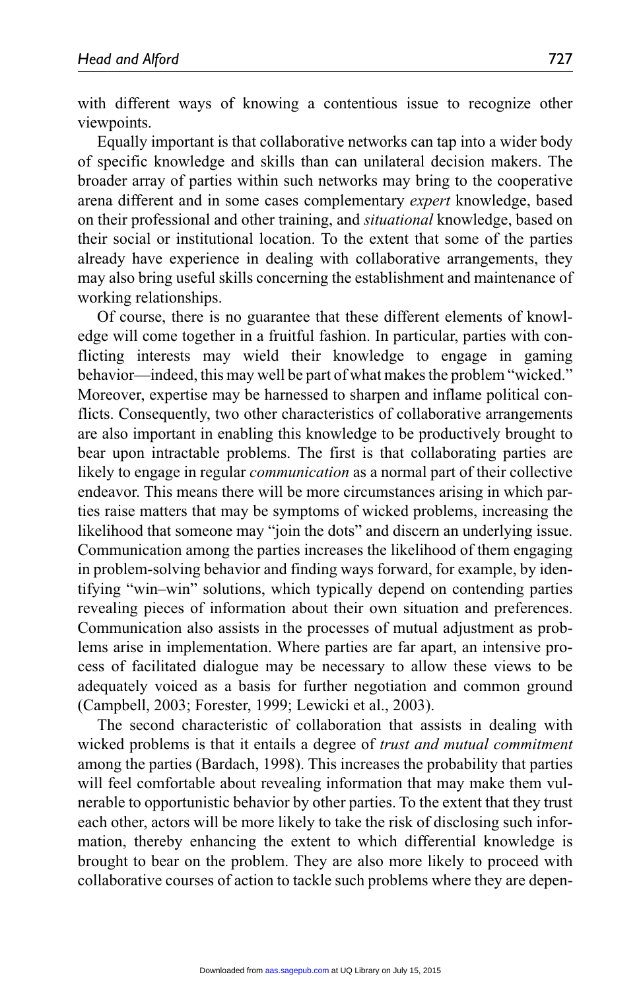with different ways of knowing a contentious issue to recognize other viewpoints.

Equally important is that collaborative networks can tap into a wider body of specific knowledge and skills than can unilateral decision makers. The broader array of parties within such networks may bring to the cooperative arena different and in some cases complementary *expert* knowledge, based on their professional and other training, and *situational* knowledge, based on their social or institutional location. To the extent that some of the parties already have experience in dealing with collaborative arrangements, they may also bring useful skills concerning the establishment and maintenance of working relationships.

Of course, there is no guarantee that these different elements of knowledge will come together in a fruitful fashion. In particular, parties with conflicting interests may wield their knowledge to engage in gaming behavior—indeed, this may well be part of what makes the problem "wicked." Moreover, expertise may be harnessed to sharpen and inflame political conflicts. Consequently, two other characteristics of collaborative arrangements are also important in enabling this knowledge to be productively brought to bear upon intractable problems. The first is that collaborating parties are likely to engage in regular *communication* as a normal part of their collective endeavor. This means there will be more circumstances arising in which parties raise matters that may be symptoms of wicked problems, increasing the likelihood that someone may "join the dots" and discern an underlying issue. Communication among the parties increases the likelihood of them engaging in problem-solving behavior and finding ways forward, for example, by identifying "win–win" solutions, which typically depend on contending parties revealing pieces of information about their own situation and preferences. Communication also assists in the processes of mutual adjustment as problems arise in implementation. Where parties are far apart, an intensive process of facilitated dialogue may be necessary to allow these views to be adequately voiced as a basis for further negotiation and common ground (Campbell, 2003; Forester, 1999; Lewicki et al., 2003).

The second characteristic of collaboration that assists in dealing with wicked problems is that it entails a degree of *trust and mutual commitment* among the parties (Bardach, 1998). This increases the probability that parties will feel comfortable about revealing information that may make them vulnerable to opportunistic behavior by other parties. To the extent that they trust each other, actors will be more likely to take the risk of disclosing such information, thereby enhancing the extent to which differential knowledge is brought to bear on the problem. They are also more likely to proceed with collaborative courses of action to tackle such problems where they are depen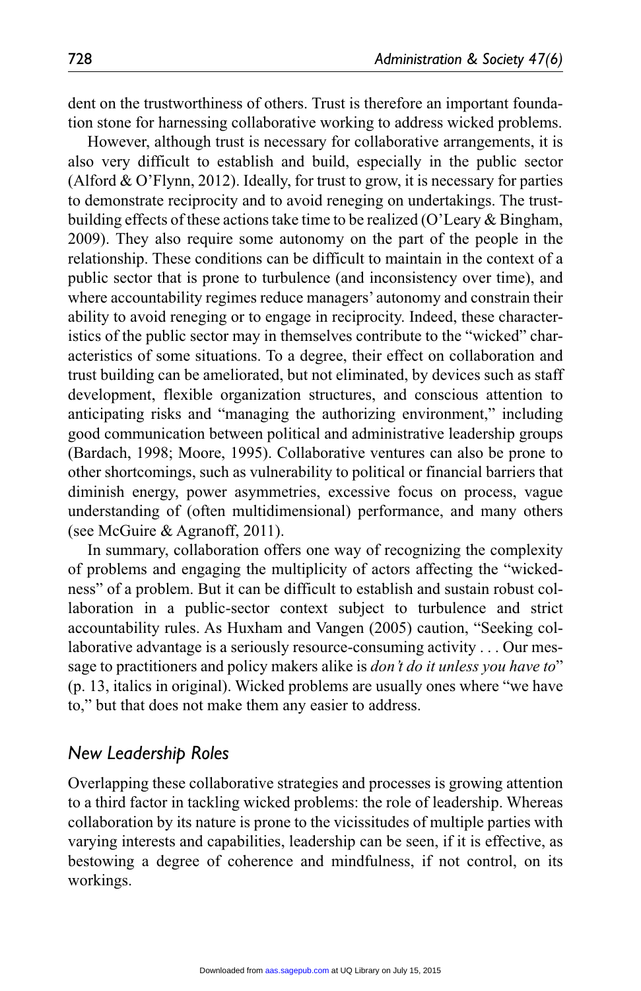dent on the trustworthiness of others. Trust is therefore an important foundation stone for harnessing collaborative working to address wicked problems.

However, although trust is necessary for collaborative arrangements, it is also very difficult to establish and build, especially in the public sector (Alford & O'Flynn, 2012). Ideally, for trust to grow, it is necessary for parties to demonstrate reciprocity and to avoid reneging on undertakings. The trustbuilding effects of these actions take time to be realized (O'Leary  $\&$  Bingham, 2009). They also require some autonomy on the part of the people in the relationship. These conditions can be difficult to maintain in the context of a public sector that is prone to turbulence (and inconsistency over time), and where accountability regimes reduce managers' autonomy and constrain their ability to avoid reneging or to engage in reciprocity. Indeed, these characteristics of the public sector may in themselves contribute to the "wicked" characteristics of some situations. To a degree, their effect on collaboration and trust building can be ameliorated, but not eliminated, by devices such as staff development, flexible organization structures, and conscious attention to anticipating risks and "managing the authorizing environment," including good communication between political and administrative leadership groups (Bardach, 1998; Moore, 1995). Collaborative ventures can also be prone to other shortcomings, such as vulnerability to political or financial barriers that diminish energy, power asymmetries, excessive focus on process, vague understanding of (often multidimensional) performance, and many others (see McGuire & Agranoff, 2011).

In summary, collaboration offers one way of recognizing the complexity of problems and engaging the multiplicity of actors affecting the "wickedness" of a problem. But it can be difficult to establish and sustain robust collaboration in a public-sector context subject to turbulence and strict accountability rules. As Huxham and Vangen (2005) caution, "Seeking collaborative advantage is a seriously resource-consuming activity . . . Our message to practitioners and policy makers alike is *don't do it unless you have to*" (p. 13, italics in original). Wicked problems are usually ones where "we have to," but that does not make them any easier to address.

### *New Leadership Roles*

Overlapping these collaborative strategies and processes is growing attention to a third factor in tackling wicked problems: the role of leadership. Whereas collaboration by its nature is prone to the vicissitudes of multiple parties with varying interests and capabilities, leadership can be seen, if it is effective, as bestowing a degree of coherence and mindfulness, if not control, on its workings.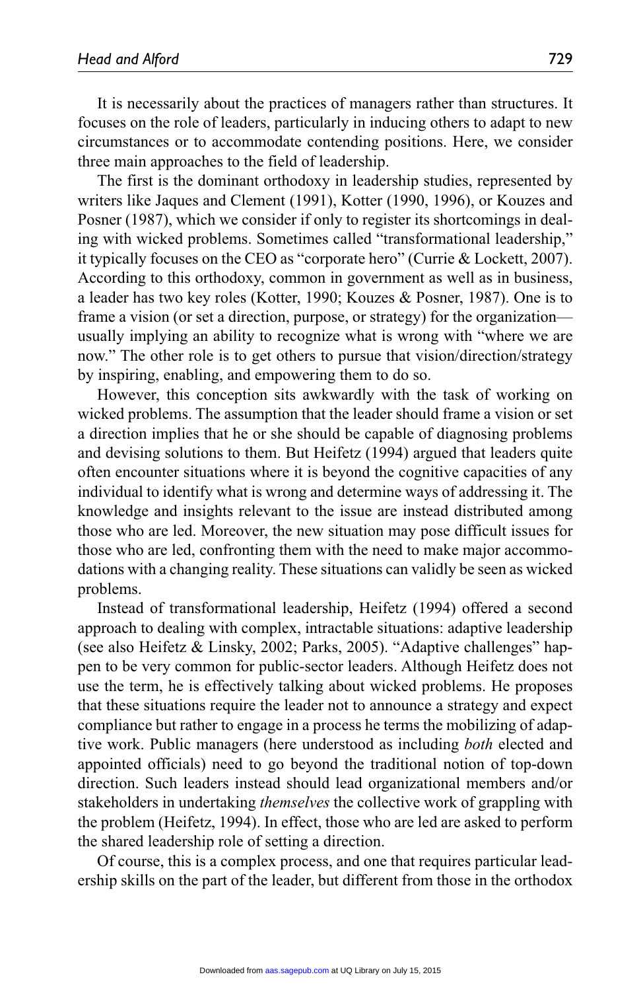It is necessarily about the practices of managers rather than structures. It focuses on the role of leaders, particularly in inducing others to adapt to new circumstances or to accommodate contending positions. Here, we consider three main approaches to the field of leadership.

The first is the dominant orthodoxy in leadership studies, represented by writers like Jaques and Clement (1991), Kotter (1990, 1996), or Kouzes and Posner (1987), which we consider if only to register its shortcomings in dealing with wicked problems. Sometimes called "transformational leadership," it typically focuses on the CEO as "corporate hero" (Currie & Lockett, 2007). According to this orthodoxy, common in government as well as in business, a leader has two key roles (Kotter, 1990; Kouzes & Posner, 1987). One is to frame a vision (or set a direction, purpose, or strategy) for the organization usually implying an ability to recognize what is wrong with "where we are now." The other role is to get others to pursue that vision/direction/strategy by inspiring, enabling, and empowering them to do so.

However, this conception sits awkwardly with the task of working on wicked problems. The assumption that the leader should frame a vision or set a direction implies that he or she should be capable of diagnosing problems and devising solutions to them. But Heifetz (1994) argued that leaders quite often encounter situations where it is beyond the cognitive capacities of any individual to identify what is wrong and determine ways of addressing it. The knowledge and insights relevant to the issue are instead distributed among those who are led. Moreover, the new situation may pose difficult issues for those who are led, confronting them with the need to make major accommodations with a changing reality. These situations can validly be seen as wicked problems.

Instead of transformational leadership, Heifetz (1994) offered a second approach to dealing with complex, intractable situations: adaptive leadership (see also Heifetz & Linsky, 2002; Parks, 2005). "Adaptive challenges" happen to be very common for public-sector leaders. Although Heifetz does not use the term, he is effectively talking about wicked problems. He proposes that these situations require the leader not to announce a strategy and expect compliance but rather to engage in a process he terms the mobilizing of adaptive work. Public managers (here understood as including *both* elected and appointed officials) need to go beyond the traditional notion of top-down direction. Such leaders instead should lead organizational members and/or stakeholders in undertaking *themselves* the collective work of grappling with the problem (Heifetz, 1994). In effect, those who are led are asked to perform the shared leadership role of setting a direction.

Of course, this is a complex process, and one that requires particular leadership skills on the part of the leader, but different from those in the orthodox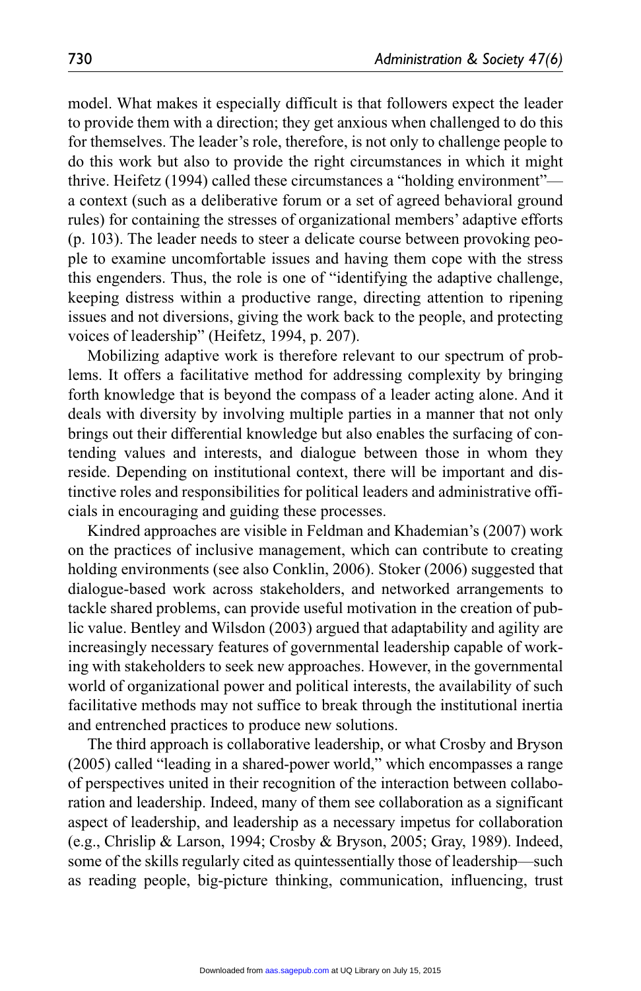model. What makes it especially difficult is that followers expect the leader to provide them with a direction; they get anxious when challenged to do this for themselves. The leader's role, therefore, is not only to challenge people to do this work but also to provide the right circumstances in which it might thrive. Heifetz (1994) called these circumstances a "holding environment" a context (such as a deliberative forum or a set of agreed behavioral ground rules) for containing the stresses of organizational members' adaptive efforts (p. 103). The leader needs to steer a delicate course between provoking people to examine uncomfortable issues and having them cope with the stress this engenders. Thus, the role is one of "identifying the adaptive challenge, keeping distress within a productive range, directing attention to ripening issues and not diversions, giving the work back to the people, and protecting voices of leadership" (Heifetz, 1994, p. 207).

Mobilizing adaptive work is therefore relevant to our spectrum of problems. It offers a facilitative method for addressing complexity by bringing forth knowledge that is beyond the compass of a leader acting alone. And it deals with diversity by involving multiple parties in a manner that not only brings out their differential knowledge but also enables the surfacing of contending values and interests, and dialogue between those in whom they reside. Depending on institutional context, there will be important and distinctive roles and responsibilities for political leaders and administrative officials in encouraging and guiding these processes.

Kindred approaches are visible in Feldman and Khademian's (2007) work on the practices of inclusive management, which can contribute to creating holding environments (see also Conklin, 2006). Stoker (2006) suggested that dialogue-based work across stakeholders, and networked arrangements to tackle shared problems, can provide useful motivation in the creation of public value. Bentley and Wilsdon (2003) argued that adaptability and agility are increasingly necessary features of governmental leadership capable of working with stakeholders to seek new approaches. However, in the governmental world of organizational power and political interests, the availability of such facilitative methods may not suffice to break through the institutional inertia and entrenched practices to produce new solutions.

The third approach is collaborative leadership, or what Crosby and Bryson (2005) called "leading in a shared-power world," which encompasses a range of perspectives united in their recognition of the interaction between collaboration and leadership. Indeed, many of them see collaboration as a significant aspect of leadership, and leadership as a necessary impetus for collaboration (e.g., Chrislip & Larson, 1994; Crosby & Bryson, 2005; Gray, 1989). Indeed, some of the skills regularly cited as quintessentially those of leadership—such as reading people, big-picture thinking, communication, influencing, trust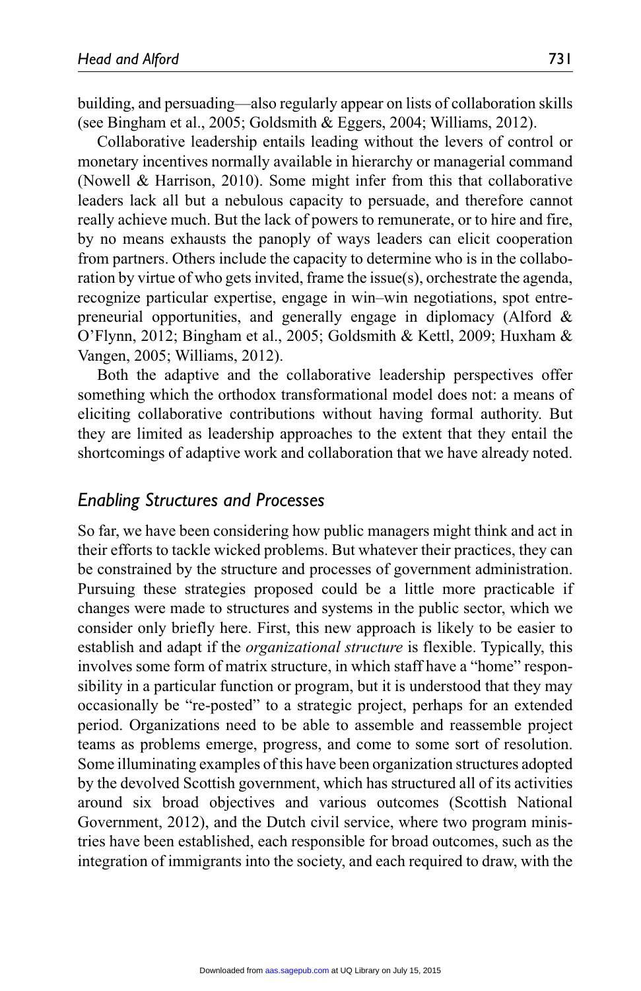building, and persuading—also regularly appear on lists of collaboration skills (see Bingham et al., 2005; Goldsmith & Eggers, 2004; Williams, 2012).

Collaborative leadership entails leading without the levers of control or monetary incentives normally available in hierarchy or managerial command (Nowell & Harrison, 2010). Some might infer from this that collaborative leaders lack all but a nebulous capacity to persuade, and therefore cannot really achieve much. But the lack of powers to remunerate, or to hire and fire, by no means exhausts the panoply of ways leaders can elicit cooperation from partners. Others include the capacity to determine who is in the collaboration by virtue of who gets invited, frame the issue(s), orchestrate the agenda, recognize particular expertise, engage in win–win negotiations, spot entrepreneurial opportunities, and generally engage in diplomacy (Alford & O'Flynn, 2012; Bingham et al., 2005; Goldsmith & Kettl, 2009; Huxham & Vangen, 2005; Williams, 2012).

Both the adaptive and the collaborative leadership perspectives offer something which the orthodox transformational model does not: a means of eliciting collaborative contributions without having formal authority. But they are limited as leadership approaches to the extent that they entail the shortcomings of adaptive work and collaboration that we have already noted.

## *Enabling Structures and Processes*

So far, we have been considering how public managers might think and act in their efforts to tackle wicked problems. But whatever their practices, they can be constrained by the structure and processes of government administration. Pursuing these strategies proposed could be a little more practicable if changes were made to structures and systems in the public sector, which we consider only briefly here. First, this new approach is likely to be easier to establish and adapt if the *organizational structure* is flexible. Typically, this involves some form of matrix structure, in which staff have a "home" responsibility in a particular function or program, but it is understood that they may occasionally be "re-posted" to a strategic project, perhaps for an extended period. Organizations need to be able to assemble and reassemble project teams as problems emerge, progress, and come to some sort of resolution. Some illuminating examples of this have been organization structures adopted by the devolved Scottish government, which has structured all of its activities around six broad objectives and various outcomes (Scottish National Government, 2012), and the Dutch civil service, where two program ministries have been established, each responsible for broad outcomes, such as the integration of immigrants into the society, and each required to draw, with the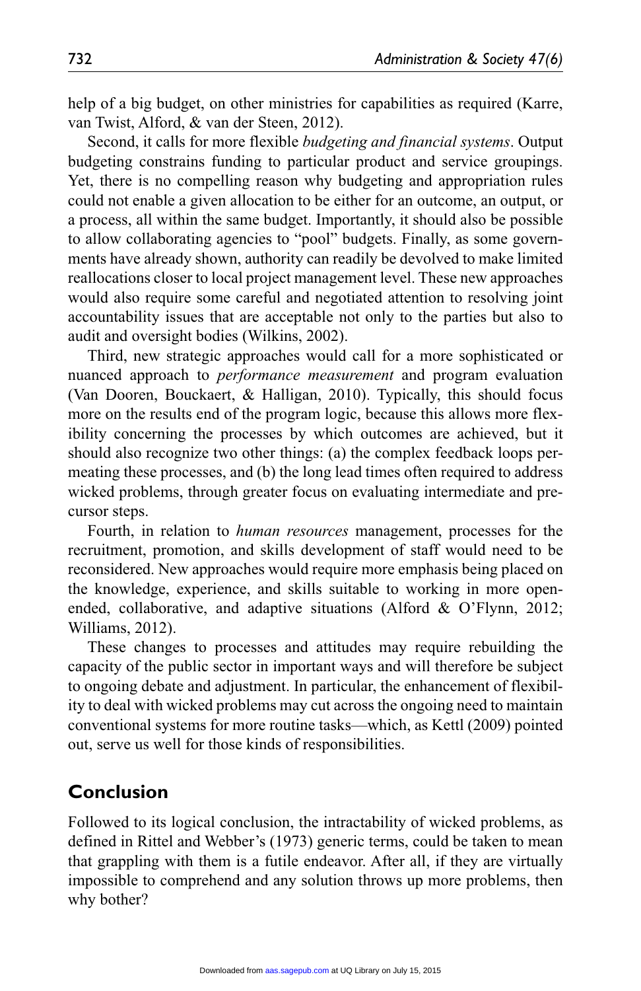help of a big budget, on other ministries for capabilities as required (Karre, van Twist, Alford, & van der Steen, 2012).

Second, it calls for more flexible *budgeting and financial systems*. Output budgeting constrains funding to particular product and service groupings. Yet, there is no compelling reason why budgeting and appropriation rules could not enable a given allocation to be either for an outcome, an output, or a process, all within the same budget. Importantly, it should also be possible to allow collaborating agencies to "pool" budgets. Finally, as some governments have already shown, authority can readily be devolved to make limited reallocations closer to local project management level. These new approaches would also require some careful and negotiated attention to resolving joint accountability issues that are acceptable not only to the parties but also to audit and oversight bodies (Wilkins, 2002).

Third, new strategic approaches would call for a more sophisticated or nuanced approach to *performance measurement* and program evaluation (Van Dooren, Bouckaert, & Halligan, 2010). Typically, this should focus more on the results end of the program logic, because this allows more flexibility concerning the processes by which outcomes are achieved, but it should also recognize two other things: (a) the complex feedback loops permeating these processes, and (b) the long lead times often required to address wicked problems, through greater focus on evaluating intermediate and precursor steps.

Fourth, in relation to *human resources* management, processes for the recruitment, promotion, and skills development of staff would need to be reconsidered. New approaches would require more emphasis being placed on the knowledge, experience, and skills suitable to working in more openended, collaborative, and adaptive situations (Alford  $\&$  O'Flynn, 2012; Williams, 2012).

These changes to processes and attitudes may require rebuilding the capacity of the public sector in important ways and will therefore be subject to ongoing debate and adjustment. In particular, the enhancement of flexibility to deal with wicked problems may cut across the ongoing need to maintain conventional systems for more routine tasks—which, as Kettl (2009) pointed out, serve us well for those kinds of responsibilities.

## **Conclusion**

Followed to its logical conclusion, the intractability of wicked problems, as defined in Rittel and Webber's (1973) generic terms, could be taken to mean that grappling with them is a futile endeavor. After all, if they are virtually impossible to comprehend and any solution throws up more problems, then why bother?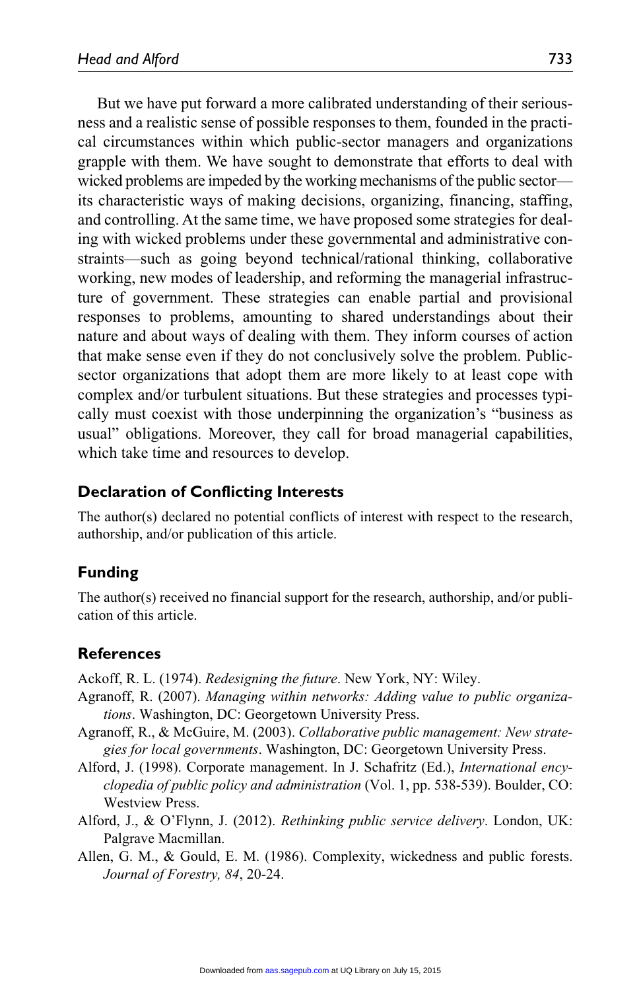But we have put forward a more calibrated understanding of their seriousness and a realistic sense of possible responses to them, founded in the practical circumstances within which public-sector managers and organizations grapple with them. We have sought to demonstrate that efforts to deal with wicked problems are impeded by the working mechanisms of the public sector its characteristic ways of making decisions, organizing, financing, staffing, and controlling. At the same time, we have proposed some strategies for dealing with wicked problems under these governmental and administrative constraints—such as going beyond technical/rational thinking, collaborative working, new modes of leadership, and reforming the managerial infrastructure of government. These strategies can enable partial and provisional responses to problems, amounting to shared understandings about their nature and about ways of dealing with them. They inform courses of action that make sense even if they do not conclusively solve the problem. Publicsector organizations that adopt them are more likely to at least cope with complex and/or turbulent situations. But these strategies and processes typically must coexist with those underpinning the organization's "business as usual" obligations. Moreover, they call for broad managerial capabilities, which take time and resources to develop.

#### **Declaration of Conflicting Interests**

The author(s) declared no potential conflicts of interest with respect to the research, authorship, and/or publication of this article.

### **Funding**

The author(s) received no financial support for the research, authorship, and/or publication of this article.

#### **References**

Ackoff, R. L. (1974). *Redesigning the future*. New York, NY: Wiley.

- Agranoff, R. (2007). *Managing within networks: Adding value to public organizations*. Washington, DC: Georgetown University Press.
- Agranoff, R., & McGuire, M. (2003). *Collaborative public management: New strategies for local governments*. Washington, DC: Georgetown University Press.
- Alford, J. (1998). Corporate management. In J. Schafritz (Ed.), *International encyclopedia of public policy and administration* (Vol. 1, pp. 538-539). Boulder, CO: Westview Press.
- Alford, J., & O'Flynn, J. (2012). *Rethinking public service delivery*. London, UK: Palgrave Macmillan.
- Allen, G. M., & Gould, E. M. (1986). Complexity, wickedness and public forests. *Journal of Forestry, 84*, 20-24.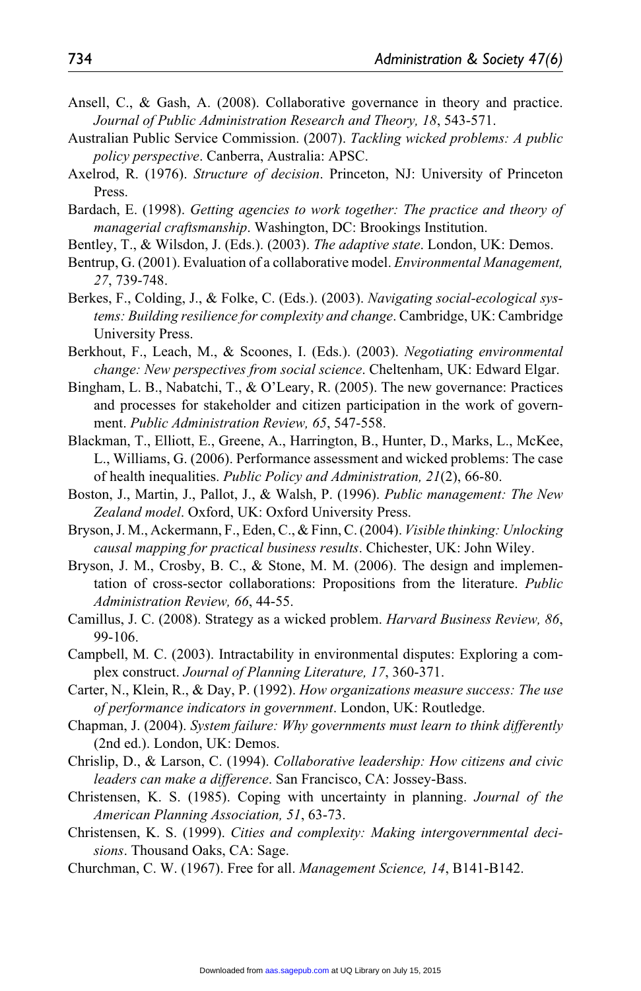- Ansell, C., & Gash, A. (2008). Collaborative governance in theory and practice. *Journal of Public Administration Research and Theory, 18*, 543-571.
- Australian Public Service Commission. (2007). *Tackling wicked problems: A public policy perspective*. Canberra, Australia: APSC.
- Axelrod, R. (1976). *Structure of decision*. Princeton, NJ: University of Princeton Press.
- Bardach, E. (1998). *Getting agencies to work together: The practice and theory of managerial craftsmanship*. Washington, DC: Brookings Institution.
- Bentley, T., & Wilsdon, J. (Eds.). (2003). *The adaptive state*. London, UK: Demos.
- Bentrup, G. (2001). Evaluation of a collaborative model. *Environmental Management, 27*, 739-748.
- Berkes, F., Colding, J., & Folke, C. (Eds.). (2003). *Navigating social-ecological systems: Building resilience for complexity and change*. Cambridge, UK: Cambridge University Press.
- Berkhout, F., Leach, M., & Scoones, I. (Eds.). (2003). *Negotiating environmental change: New perspectives from social science*. Cheltenham, UK: Edward Elgar.
- Bingham, L. B., Nabatchi, T., & O'Leary, R. (2005). The new governance: Practices and processes for stakeholder and citizen participation in the work of government. *Public Administration Review, 65*, 547-558.
- Blackman, T., Elliott, E., Greene, A., Harrington, B., Hunter, D., Marks, L., McKee, L., Williams, G. (2006). Performance assessment and wicked problems: The case of health inequalities. *Public Policy and Administration, 21*(2), 66-80.
- Boston, J., Martin, J., Pallot, J., & Walsh, P. (1996). *Public management: The New Zealand model*. Oxford, UK: Oxford University Press.
- Bryson, J. M., Ackermann, F., Eden, C., & Finn, C. (2004). *Visible thinking: Unlocking causal mapping for practical business results*. Chichester, UK: John Wiley.
- Bryson, J. M., Crosby, B. C., & Stone, M. M. (2006). The design and implementation of cross-sector collaborations: Propositions from the literature. *Public Administration Review, 66*, 44-55.
- Camillus, J. C. (2008). Strategy as a wicked problem. *Harvard Business Review, 86*, 99-106.
- Campbell, M. C. (2003). Intractability in environmental disputes: Exploring a complex construct. *Journal of Planning Literature, 17*, 360-371.
- Carter, N., Klein, R., & Day, P. (1992). *How organizations measure success: The use of performance indicators in government*. London, UK: Routledge.
- Chapman, J. (2004). *System failure: Why governments must learn to think differently* (2nd ed.). London, UK: Demos.
- Chrislip, D., & Larson, C. (1994). *Collaborative leadership: How citizens and civic leaders can make a difference*. San Francisco, CA: Jossey-Bass.
- Christensen, K. S. (1985). Coping with uncertainty in planning. *Journal of the American Planning Association, 51*, 63-73.
- Christensen, K. S. (1999). *Cities and complexity: Making intergovernmental decisions*. Thousand Oaks, CA: Sage.
- Churchman, C. W. (1967). Free for all. *Management Science, 14*, B141-B142.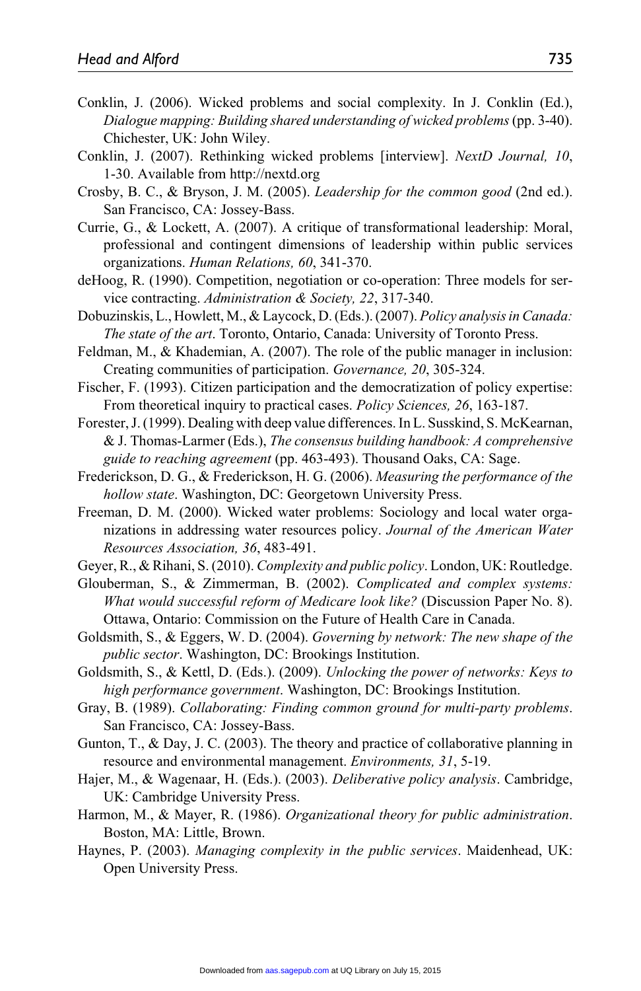- Conklin, J. (2006). Wicked problems and social complexity. In J. Conklin (Ed.), *Dialogue mapping: Building shared understanding of wicked problems* (pp. 3-40). Chichester, UK: John Wiley.
- Conklin, J. (2007). Rethinking wicked problems [interview]. *NextD Journal, 10*, 1-30. Available from http://nextd.org
- Crosby, B. C., & Bryson, J. M. (2005). *Leadership for the common good* (2nd ed.). San Francisco, CA: Jossey-Bass.
- Currie, G., & Lockett, A. (2007). A critique of transformational leadership: Moral, professional and contingent dimensions of leadership within public services organizations. *Human Relations, 60*, 341-370.
- deHoog, R. (1990). Competition, negotiation or co-operation: Three models for service contracting. *Administration & Society, 22*, 317-340.
- Dobuzinskis, L., Howlett, M., & Laycock, D. (Eds.). (2007). *Policy analysis in Canada: The state of the art*. Toronto, Ontario, Canada: University of Toronto Press.

Feldman, M., & Khademian, A. (2007). The role of the public manager in inclusion: Creating communities of participation. *Governance, 20*, 305-324.

- Fischer, F. (1993). Citizen participation and the democratization of policy expertise: From theoretical inquiry to practical cases. *Policy Sciences, 26*, 163-187.
- Forester, J. (1999). Dealing with deep value differences. In L. Susskind, S. McKearnan, & J. Thomas-Larmer (Eds.), *The consensus building handbook: A comprehensive guide to reaching agreement* (pp. 463-493). Thousand Oaks, CA: Sage.
- Frederickson, D. G., & Frederickson, H. G. (2006). *Measuring the performance of the hollow state*. Washington, DC: Georgetown University Press.
- Freeman, D. M. (2000). Wicked water problems: Sociology and local water organizations in addressing water resources policy. *Journal of the American Water Resources Association, 36*, 483-491.
- Geyer, R., & Rihani, S. (2010). *Complexity and public policy*. London, UK: Routledge.
- Glouberman, S., & Zimmerman, B. (2002). *Complicated and complex systems: What would successful reform of Medicare look like?* (Discussion Paper No. 8). Ottawa, Ontario: Commission on the Future of Health Care in Canada.
- Goldsmith, S., & Eggers, W. D. (2004). *Governing by network: The new shape of the public sector*. Washington, DC: Brookings Institution.
- Goldsmith, S., & Kettl, D. (Eds.). (2009). *Unlocking the power of networks: Keys to high performance government*. Washington, DC: Brookings Institution.
- Gray, B. (1989). *Collaborating: Finding common ground for multi-party problems*. San Francisco, CA: Jossey-Bass.
- Gunton, T., & Day, J. C. (2003). The theory and practice of collaborative planning in resource and environmental management. *Environments, 31*, 5-19.
- Hajer, M., & Wagenaar, H. (Eds.). (2003). *Deliberative policy analysis*. Cambridge, UK: Cambridge University Press.
- Harmon, M., & Mayer, R. (1986). *Organizational theory for public administration*. Boston, MA: Little, Brown.
- Haynes, P. (2003). *Managing complexity in the public services*. Maidenhead, UK: Open University Press.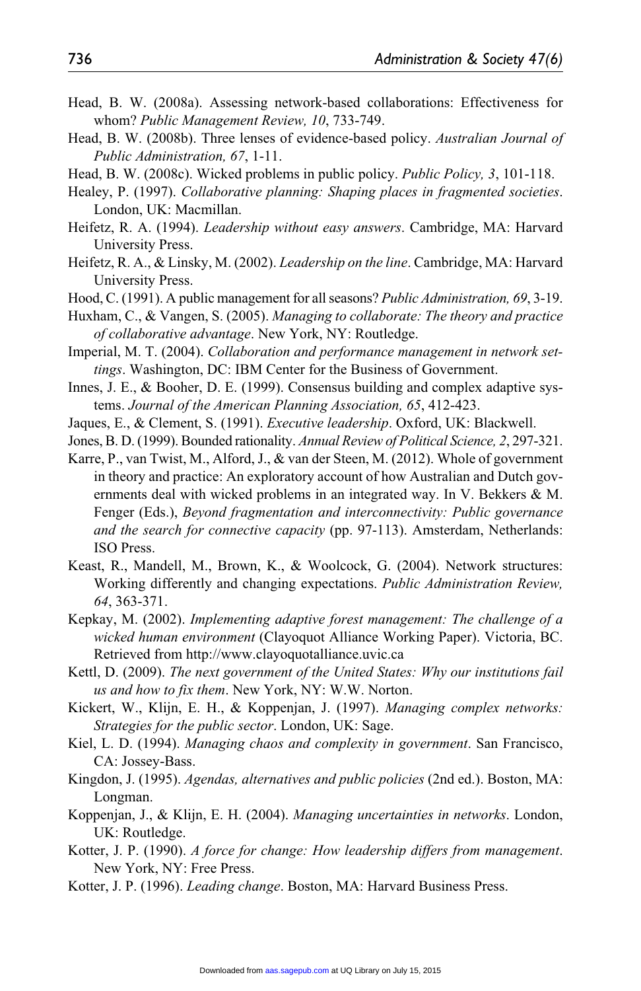- Head, B. W. (2008a). Assessing network-based collaborations: Effectiveness for whom? *Public Management Review, 10*, 733-749.
- Head, B. W. (2008b). Three lenses of evidence-based policy. *Australian Journal of Public Administration, 67*, 1-11.
- Head, B. W. (2008c). Wicked problems in public policy. *Public Policy, 3*, 101-118.
- Healey, P. (1997). *Collaborative planning: Shaping places in fragmented societies*. London, UK: Macmillan.
- Heifetz, R. A. (1994). *Leadership without easy answers*. Cambridge, MA: Harvard University Press.
- Heifetz, R. A., & Linsky, M. (2002). *Leadership on the line*. Cambridge, MA: Harvard University Press.
- Hood, C. (1991). A public management for all seasons? *Public Administration, 69*, 3-19.
- Huxham, C., & Vangen, S. (2005). *Managing to collaborate: The theory and practice of collaborative advantage*. New York, NY: Routledge.
- Imperial, M. T. (2004). *Collaboration and performance management in network settings*. Washington, DC: IBM Center for the Business of Government.
- Innes, J. E., & Booher, D. E. (1999). Consensus building and complex adaptive systems. *Journal of the American Planning Association, 65*, 412-423.
- Jaques, E., & Clement, S. (1991). *Executive leadership*. Oxford, UK: Blackwell.
- Jones, B. D. (1999). Bounded rationality. *Annual Review of Political Science, 2*, 297-321.
- Karre, P., van Twist, M., Alford, J., & van der Steen, M. (2012). Whole of government in theory and practice: An exploratory account of how Australian and Dutch governments deal with wicked problems in an integrated way. In V. Bekkers & M. Fenger (Eds.), *Beyond fragmentation and interconnectivity: Public governance and the search for connective capacity* (pp. 97-113). Amsterdam, Netherlands: ISO Press.
- Keast, R., Mandell, M., Brown, K., & Woolcock, G. (2004). Network structures: Working differently and changing expectations. *Public Administration Review, 64*, 363-371.
- Kepkay, M. (2002). *Implementing adaptive forest management: The challenge of a wicked human environment* (Clayoquot Alliance Working Paper). Victoria, BC. Retrieved from http://www.clayoquotalliance.uvic.ca
- Kettl, D. (2009). *The next government of the United States: Why our institutions fail us and how to fix them*. New York, NY: W.W. Norton.
- Kickert, W., Klijn, E. H., & Koppenjan, J. (1997). *Managing complex networks: Strategies for the public sector*. London, UK: Sage.
- Kiel, L. D. (1994). *Managing chaos and complexity in government*. San Francisco, CA: Jossey-Bass.
- Kingdon, J. (1995). *Agendas, alternatives and public policies* (2nd ed.). Boston, MA: Longman.
- Koppenjan, J., & Klijn, E. H. (2004). *Managing uncertainties in networks*. London, UK: Routledge.
- Kotter, J. P. (1990). *A force for change: How leadership differs from management*. New York, NY: Free Press.
- Kotter, J. P. (1996). *Leading change*. Boston, MA: Harvard Business Press.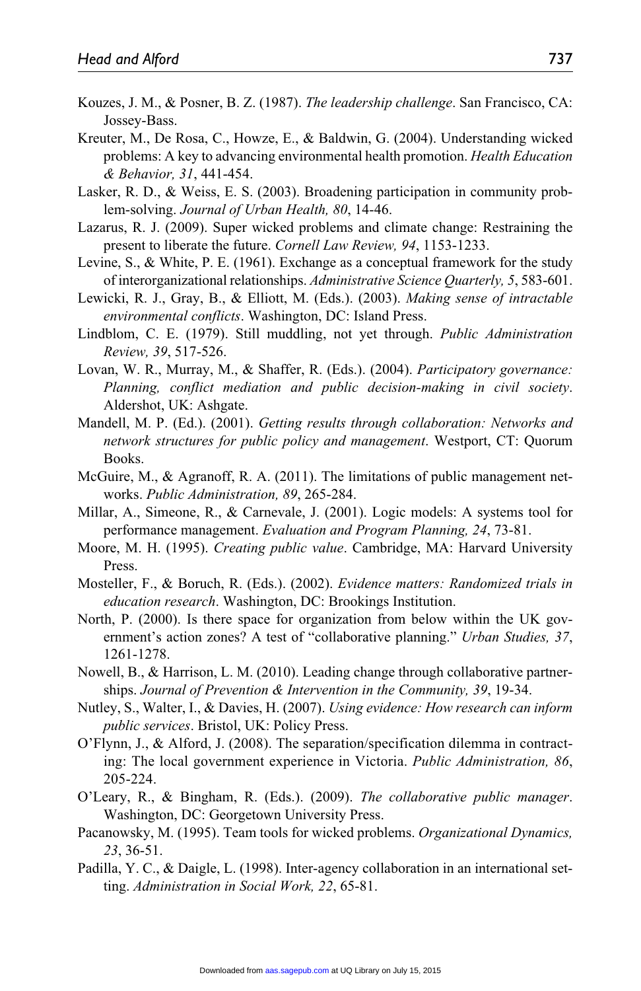- Kouzes, J. M., & Posner, B. Z. (1987). *The leadership challenge*. San Francisco, CA: Jossey-Bass.
- Kreuter, M., De Rosa, C., Howze, E., & Baldwin, G. (2004). Understanding wicked problems: A key to advancing environmental health promotion. *Health Education & Behavior, 31*, 441-454.
- Lasker, R. D., & Weiss, E. S. (2003). Broadening participation in community problem-solving. *Journal of Urban Health, 80*, 14-46.
- Lazarus, R. J. (2009). Super wicked problems and climate change: Restraining the present to liberate the future. *Cornell Law Review, 94*, 1153-1233.
- Levine, S., & White, P. E. (1961). Exchange as a conceptual framework for the study of interorganizational relationships. *Administrative Science Quarterly, 5*, 583-601.
- Lewicki, R. J., Gray, B., & Elliott, M. (Eds.). (2003). *Making sense of intractable environmental conflicts*. Washington, DC: Island Press.
- Lindblom, C. E. (1979). Still muddling, not yet through. *Public Administration Review, 39*, 517-526.
- Lovan, W. R., Murray, M., & Shaffer, R. (Eds.). (2004). *Participatory governance: Planning, conflict mediation and public decision-making in civil society*. Aldershot, UK: Ashgate.
- Mandell, M. P. (Ed.). (2001). *Getting results through collaboration: Networks and network structures for public policy and management*. Westport, CT: Quorum Books.
- McGuire, M., & Agranoff, R. A. (2011). The limitations of public management networks. *Public Administration, 89*, 265-284.
- Millar, A., Simeone, R., & Carnevale, J. (2001). Logic models: A systems tool for performance management. *Evaluation and Program Planning, 24*, 73-81.
- Moore, M. H. (1995). *Creating public value*. Cambridge, MA: Harvard University Press.
- Mosteller, F., & Boruch, R. (Eds.). (2002). *Evidence matters: Randomized trials in education research*. Washington, DC: Brookings Institution.
- North, P. (2000). Is there space for organization from below within the UK government's action zones? A test of "collaborative planning." *Urban Studies, 37*, 1261-1278.
- Nowell, B., & Harrison, L. M. (2010). Leading change through collaborative partnerships. *Journal of Prevention & Intervention in the Community, 39*, 19-34.
- Nutley, S., Walter, I., & Davies, H. (2007). *Using evidence: How research can inform public services*. Bristol, UK: Policy Press.
- O'Flynn, J., & Alford, J. (2008). The separation/specification dilemma in contracting: The local government experience in Victoria. *Public Administration, 86*, 205-224.
- O'Leary, R., & Bingham, R. (Eds.). (2009). *The collaborative public manager*. Washington, DC: Georgetown University Press.
- Pacanowsky, M. (1995). Team tools for wicked problems. *Organizational Dynamics, 23*, 36-51.
- Padilla, Y. C., & Daigle, L. (1998). Inter-agency collaboration in an international setting. *Administration in Social Work, 22*, 65-81.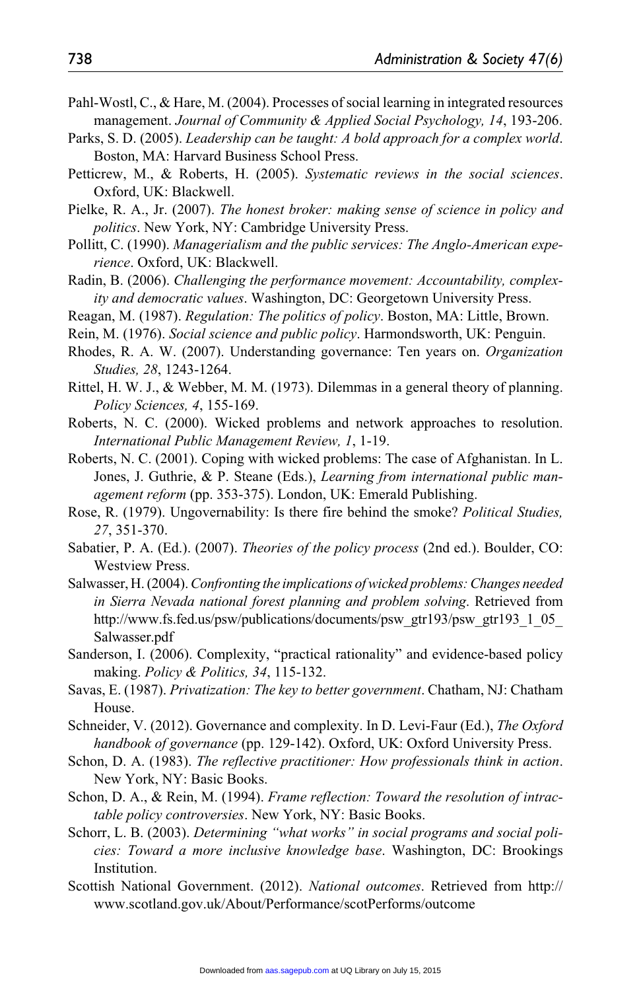- Pahl-Wostl, C., & Hare, M. (2004). Processes of social learning in integrated resources management. *Journal of Community & Applied Social Psychology, 14*, 193-206.
- Parks, S. D. (2005). *Leadership can be taught: A bold approach for a complex world*. Boston, MA: Harvard Business School Press.
- Petticrew, M., & Roberts, H. (2005). *Systematic reviews in the social sciences*. Oxford, UK: Blackwell.
- Pielke, R. A., Jr. (2007). *The honest broker: making sense of science in policy and politics*. New York, NY: Cambridge University Press.
- Pollitt, C. (1990). *Managerialism and the public services: The Anglo-American experience*. Oxford, UK: Blackwell.
- Radin, B. (2006). *Challenging the performance movement: Accountability, complexity and democratic values*. Washington, DC: Georgetown University Press.
- Reagan, M. (1987). *Regulation: The politics of policy*. Boston, MA: Little, Brown.
- Rein, M. (1976). *Social science and public policy*. Harmondsworth, UK: Penguin.
- Rhodes, R. A. W. (2007). Understanding governance: Ten years on. *Organization Studies, 28*, 1243-1264.
- Rittel, H. W. J., & Webber, M. M. (1973). Dilemmas in a general theory of planning. *Policy Sciences, 4*, 155-169.
- Roberts, N. C. (2000). Wicked problems and network approaches to resolution. *International Public Management Review, 1*, 1-19.
- Roberts, N. C. (2001). Coping with wicked problems: The case of Afghanistan. In L. Jones, J. Guthrie, & P. Steane (Eds.), *Learning from international public management reform* (pp. 353-375). London, UK: Emerald Publishing.
- Rose, R. (1979). Ungovernability: Is there fire behind the smoke? *Political Studies, 27*, 351-370.
- Sabatier, P. A. (Ed.). (2007). *Theories of the policy process* (2nd ed.). Boulder, CO: Westview Press.
- Salwasser, H. (2004). *Confronting the implications of wicked problems: Changes needed in Sierra Nevada national forest planning and problem solving*. Retrieved from http://www.fs.fed.us/psw/publications/documents/psw\_gtr193/psw\_gtr193\_1\_05 Salwasser.pdf
- Sanderson, I. (2006). Complexity, "practical rationality" and evidence-based policy making. *Policy & Politics, 34*, 115-132.
- Savas, E. (1987). *Privatization: The key to better government*. Chatham, NJ: Chatham House.
- Schneider, V. (2012). Governance and complexity. In D. Levi-Faur (Ed.), *The Oxford handbook of governance* (pp. 129-142). Oxford, UK: Oxford University Press.
- Schon, D. A. (1983). *The reflective practitioner: How professionals think in action*. New York, NY: Basic Books.
- Schon, D. A., & Rein, M. (1994). *Frame reflection: Toward the resolution of intractable policy controversies*. New York, NY: Basic Books.
- Schorr, L. B. (2003). *Determining "what works" in social programs and social policies: Toward a more inclusive knowledge base*. Washington, DC: Brookings Institution.
- Scottish National Government. (2012). *National outcomes*. Retrieved from http:// www.scotland.gov.uk/About/Performance/scotPerforms/outcome